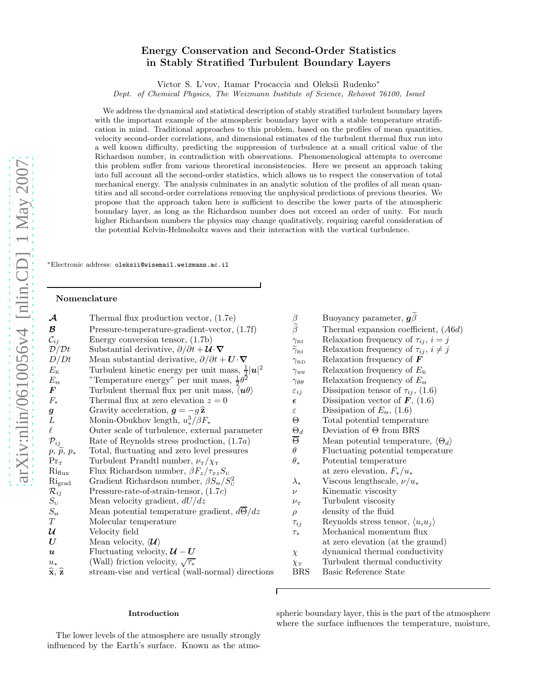# Energy Conservation and Second-Order Statistics in Stably Stratified Turbulent Boundary Layers

Victor S. L'vov, Itamar Procaccia and Oleksii Rudenko<sup>∗</sup>

Dept. of Chemical Physics, The Weizmann Institute of Science, Rehovot 76100, Israel

We address the dynamical and statistical description of stably stratified turbulent boundary layers with the important example of the atmospheric boundary layer with a stable temperature stratification in mind. Traditional approaches to this problem, based on the profiles of mean quantities, velocity second-order correlations, and dimensional estimates of the turbulent thermal flux run into a well known difficulty, predicting the suppression of turbulence at a small critical value of the Richardson number, in contradiction with observations. Phenomenological attempts to overcome this problem suffer from various theoretical inconsistencies. Here we present an approach taking into full account all the second-order statistics, which allows us to respect the conservation of total mechanical energy. The analysis culminates in an analytic solution of the profiles of all mean quantities and all second-order correlations removing the unphysical predictions of previous theories. We propose that the approach taken here is sufficient to describe the lower parts of the atmospheric boundary layer, as long as the Richardson number does not exceed an order of unity. For much higher Richardson numbers the physics may change qualitatively, requiring careful consideration of the potential Kelvin-Helmoholtz waves and their interaction with the vortical turbulence.

∗Electronic address: oleksii@wisemail.weizmann.ac.il

#### Nomenclature

| $\mathcal{A}$                                | Thermal flux production vector, $(1.7e)$                                              | $\beta$                                 | Buoyancy parameter, $g\beta$                           |
|----------------------------------------------|---------------------------------------------------------------------------------------|-----------------------------------------|--------------------------------------------------------|
| B                                            | Pressure-temperature-gradient-vector, (1.7f)                                          | $\widetilde{\beta}$                     | Thermal expansion coefficient, $(A6d)$                 |
| $\mathcal{C}_{ij}$                           | Energy conversion tensor, $(1.7b)$                                                    | $\gamma_{\text{\tiny RI}}$              | Relaxation frequency of $\tau_{ij}$ , $i = j$          |
| $\mathcal{D}/\mathcal{D}t$                   | Substantial derivative, $\partial/\partial t + \mathcal{U} \cdot \nabla$              | $\widetilde{\gamma}_{\text{\tiny{RI}}}$ | Relaxation frequency of $\tau_{ij}$ , $i \neq j$       |
| D/Dt                                         | Mean substantial derivative, $\partial/\partial t + \mathbf{U} \cdot \mathbf{\nabla}$ | $\gamma_{\rm RD}$                       | Relaxation frequency of $\boldsymbol{F}$               |
| $E_{\rm K}$                                  | Turbulent kinetic energy per unit mass, $\frac{1}{2} \mathbf{u} ^2$                   | $\gamma_{uu}$                           | Relaxation frequency of $E_{\rm K}$                    |
| $E_{\Theta}$                                 | "Temperature energy" per unit mass, $\frac{1}{2}\theta^2$                             | $\gamma_{\theta\theta}$                 | Relaxation frequency of $E_{\Theta}$                   |
| $\bm{F}$                                     | Turbulent thermal flux per unit mass, $\langle u\theta \rangle$                       | $\varepsilon_{ij}$                      | Dissipation tensor of $\tau_{ij}$ , (1.6)              |
| $F_*$                                        | Thermal flux at zero elevation $z = 0$                                                | $\epsilon$                              | Dissipation vector of $\boldsymbol{F}$ , (1.6)         |
| $\pmb{g}$                                    | Gravity acceleration, $g = -g\hat{z}$                                                 | $\varepsilon$                           | Dissipation of $E_{\Theta}$ , (1.6)                    |
| L                                            | Monin-Obukhov length, $u_*^3/\beta F_*$                                               | Θ                                       | Total potential temperature                            |
| $\ell$                                       | Outer scale of turbulence, external parameter                                         | $\Theta_d$                              | Deviation of $\Theta$ from BRS                         |
| $\mathcal{P}_{ij}$                           | Rate of Reynolds stress production, $(1.7a)$                                          | $\Theta$                                | Mean potential temperature, $\langle \Theta_d \rangle$ |
| $p, \,\widetilde{p},\, p_*$                  | Total, fluctuating and zero level pressures                                           | $\theta$                                | Fluctuating potential temperature                      |
| $Pr_T$                                       | Turbulent Prandtl number, $\nu_{\rm T}/\chi_{\rm T}$                                  | $\theta_*$                              | Potential temperature                                  |
| $\mathrm{Ri}_{\mathrm{flux}}$                | Flux Richardson number, $\beta F_z/\tau_{xz}S_v$                                      |                                         | at zero elevation, $F_*/u_*$                           |
| $\mathrm{Ri}_{\mathrm{grad}}$                | Gradient Richardson number, $\beta S_{\Theta} / S_{\mathrm{U}}^2$                     | $\lambda_*$                             | Viscous lengthscale, $\nu/u_*$                         |
| $\mathcal{R}_{ij}$                           | Pressure-rate-of-strain-tensor, $(1.7c)$                                              | $\nu$                                   | Kinematic viscosity                                    |
| $S_{\rm U}$                                  | Mean velocity gradient, $dU/dz$                                                       | $\nu_{\rm T}$                           | Turbulent viscosity                                    |
| $S_{\Theta}$                                 | Mean potential temperature gradient, $d\overline{\Theta}/dz$                          | $\rho$                                  | density of the fluid                                   |
| $\cal T$                                     | Molecular temperature                                                                 | $\tau_{ij}$                             | Reynolds stress tensor, $\langle u_i u_j \rangle$      |
| $\mathcal U$                                 | Velocity field                                                                        | $\tau_*$                                | Mechanical momentum flux                               |
| $\bm{U}$                                     | Mean velocity, $\langle \mathcal{U} \rangle$                                          |                                         | at zero elevation (at the graund)                      |
| $\boldsymbol{u}$                             | Fluctuating velocity, $\boldsymbol{U} - \boldsymbol{U}$                               | $\chi$                                  | dynamical thermal conductivity                         |
| $u_*$                                        | (Wall) friction velocity, $\sqrt{\tau_*}$                                             | $\chi_{\scriptscriptstyle\rm T}$        | Turbulent thermal conductivity                         |
| $\widehat{\mathbf{x}}, \widehat{\mathbf{z}}$ | stream-vise and vertical (wall-normal) directions                                     | <b>BRS</b>                              | Basic Reference State                                  |

# $\beta$  Buoyancy parameter,  $g\hat{\beta}$ <br>Thermal expansion coeffi  $\gamma_{\text{\tiny{RI}}}$  Relaxation frequency of  $\tau_{ij}$ ,  $i = j$ <br>  $\widetilde{\gamma}_{\text{\tiny{RI}}}$  Relaxation frequency of  $\tau_{ij}$ ,  $i \neq j$  $\widetilde{\gamma}_{\text{\tiny{RL}}}$  Relaxation frequency of  $\tau_{ij}$ ,  $i \neq j$ <br>  $\gamma_{\text{\tiny{RD}}}$  Relaxation frequency of **F** Relaxation frequency of  $\boldsymbol{F}$  $\gamma_{uu}$  Relaxation frequency of  $E_{\text{\tiny K}}$  $\gamma_{\theta\theta}$  Relaxation frequency of  $E_{\Theta}$  $\varepsilon_{ij}$  Dissipation tensor of  $\tau_{ij}$ , (1.6)<br> **e** Dissipation vector of **F**, (1.6) Dissipation vector of  $\boldsymbol{F}$ , (1.6)  $ε$  Dissipation of  $E_\Theta$ , (1.6)<br>  $Θ$  Total potential tempera Total potential temperature  $\frac{\Theta_d}{\Theta}$  Deviation of  $\Theta$  from BRS<br>  $\overline{\Theta}$  Mean potential temperature  $\overline{\Theta}$  Mean potential temperature,  $\langle \Theta_d \rangle$  Fluctuating potential temperature at zero elevation,  $F_*/u_*$  $\lambda_*$  Viscous lengthscale,  $\nu/u_*$  $\nu$  Kinematic viscosity<br>Turbulent viscosity Turbulent viscosity  $\rho$  density of the fluid  $\tau_{ij}$  Reynolds stress tensor,  $\langle u_i u_j \rangle$ <br> $\tau_*$  Mechanical momentum flux Mechanical momentum flux at zero elevation (at the graund)<br>  $\chi$  dynamical thermal conductivity dynamical thermal conductivity  $\chi_{\text{T}}$  Turbulent thermal conductivity

Г

### Introduction

The lower levels of the atmosphere are usually strongly influenced by the Earth's surface. Known as the atmospheric boundary layer, this is the part of the atmosphere where the surface influences the temperature, moisture,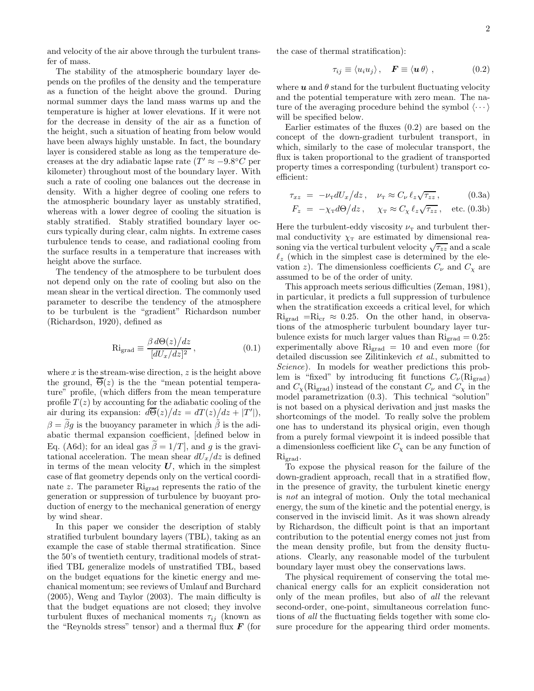and velocity of the air above through the turbulent transfer of mass.

The stability of the atmospheric boundary layer depends on the profiles of the density and the temperature as a function of the height above the ground. During normal summer days the land mass warms up and the temperature is higher at lower elevations. If it were not for the decrease in density of the air as a function of the height, such a situation of heating from below would have been always highly unstable. In fact, the boundary layer is considered stable as long as the temperature decreases at the dry adiabatic lapse rate  $(T' \approx -9.8^{\circ}C)$  per kilometer) throughout most of the boundary layer. With such a rate of cooling one balances out the decrease in density. With a higher degree of cooling one refers to the atmospheric boundary layer as unstably stratified, whereas with a lower degree of cooling the situation is stably stratified. Stably stratified boundary layer occurs typically during clear, calm nights. In extreme cases turbulence tends to cease, and radiational cooling from the surface results in a temperature that increases with height above the surface.

The tendency of the atmosphere to be turbulent does not depend only on the rate of cooling but also on the mean shear in the vertical direction. The commonly used parameter to describe the tendency of the atmosphere to be turbulent is the "gradient" Richardson number (Richardson, 1920), defined as

$$
\text{Ri}_{\text{grad}} \equiv \frac{\beta \, d\Theta(z)/dz}{[dU_x/dz]^2},\tag{0.1}
$$

where  $x$  is the stream-wise direction,  $z$  is the height above the ground,  $\overline{\Theta}(z)$  is the the "mean potential temperature" profile, (which differs from the mean temperature profile  $T(z)$  by accounting for the adiabatic cooling of the air during its expansion:  $d\overline{\Theta}(z)/dz = dT(z)/dz + |T'|$ ,  $\beta = \beta g$  is the buoyancy parameter in which  $\beta$  is the adiabatic thermal expansion coefficient, [defined below in Eq. (A6d); for an ideal gas  $\tilde{\beta} = 1/T$ , and g is the gravitational acceleration. The mean shear  $dU_x/dz$  is defined in terms of the mean velocity  $U$ , which in the simplest case of flat geometry depends only on the vertical coordinate z. The parameter Rigrad represents the ratio of the generation or suppression of turbulence by buoyant production of energy to the mechanical generation of energy by wind shear.

In this paper we consider the description of stably stratified turbulent boundary layers (TBL), taking as an example the case of stable thermal stratification. Since the 50's of twentieth century, traditional models of stratified TBL generalize models of unstratified TBL, based on the budget equations for the kinetic energy and mechanical momentum; see reviews of Umlauf and Burchard (2005), Weng and Taylor (2003). The main difficulty is that the budget equations are not closed; they involve turbulent fluxes of mechanical moments  $\tau_{ij}$  (known as the "Reynolds stress" tensor) and a thermal flux  $\boldsymbol{F}$  (for

the case of thermal stratification):

$$
\tau_{ij} \equiv \langle u_i u_j \rangle \, , \quad \boldsymbol{F} \equiv \langle \boldsymbol{u} \, \boldsymbol{\theta} \rangle \, , \tag{0.2}
$$

where  $u$  and  $\theta$  stand for the turbulent fluctuating velocity and the potential temperature with zero mean. The nature of the averaging procedure behind the symbol  $\langle \cdots \rangle$ will be specified below.

Earlier estimates of the fluxes (0.2) are based on the concept of the down-gradient turbulent transport, in which, similarly to the case of molecular transport, the flux is taken proportional to the gradient of transported property times a corresponding (turbulent) transport coefficient:

$$
\tau_{xz} = -\nu_{\rm T} dU_x/dz, \quad \nu_{\rm T} \approx C_{\nu} \ell_z \sqrt{\tau_{zz}}, \quad (0.3a)
$$

$$
F_z = -\chi_{\rm T} d\Theta / dz, \quad \chi_{\rm T} \approx C_{\chi} \ell_z \sqrt{\tau_{zz}}, \quad \text{etc. (0.3b)}
$$

Here the turbulent-eddy viscosity  $\nu$ <sub>T</sub> and turbulent thermal conductivity  $\chi_{\rm T}$  are estimated by dimensional reasoning via the vertical turbulent velocity  $\sqrt{\tau_{zz}}$  and a scale  $\ell_z$  (which in the simplest case is determined by the elevation z). The dimensionless coefficients  $C_{\nu}$  and  $C_{\gamma}$  are assumed to be of the order of unity.

This approach meets serious difficulties (Zeman, 1981), in particular, it predicts a full suppression of turbulence when the stratification exceeds a critical level, for which  $\mathrm{Ri}_{\text{grad}} = \mathrm{Ri}_{\text{cr}} \approx 0.25$ . On the other hand, in observations of the atmospheric turbulent boundary layer turbulence exists for much larger values than  $\mathrm{Ri}_{\mathrm{grad}} = 0.25$ : experimentally above  $\mathrm{Ri}_{\text{grad}} = 10$  and even more (for detailed discussion see Zilitinkevich et al., submitted to Science). In models for weather predictions this problem is "fixed" by introducing fit functions  $C_{\nu}(\text{Ri}_{\text{grad}})$ and  $C_{\chi}$ (Ri<sub>grad</sub>) instead of the constant  $C_{\nu}$  and  $C_{\chi}$  in the model parametrization (0.3). This technical "solution" is not based on a physical derivation and just masks the shortcomings of the model. To really solve the problem one has to understand its physical origin, even though from a purely formal viewpoint it is indeed possible that a dimensionless coefficient like  $C_{\chi}$  can be any function of Ri<sub>grad</sub>.

To expose the physical reason for the failure of the down-gradient approach, recall that in a stratified flow, in the presence of gravity, the turbulent kinetic energy is not an integral of motion. Only the total mechanical energy, the sum of the kinetic and the potential energy, is conserved in the inviscid limit. As it was shown already by Richardson, the difficult point is that an important contribution to the potential energy comes not just from the mean density profile, but from the density fluctuations. Clearly, any reasonable model of the turbulent boundary layer must obey the conservations laws.

The physical requirement of conserving the total mechanical energy calls for an explicit consideration not only of the mean profiles, but also of all the relevant second-order, one-point, simultaneous correlation functions of all the fluctuating fields together with some closure procedure for the appearing third order moments.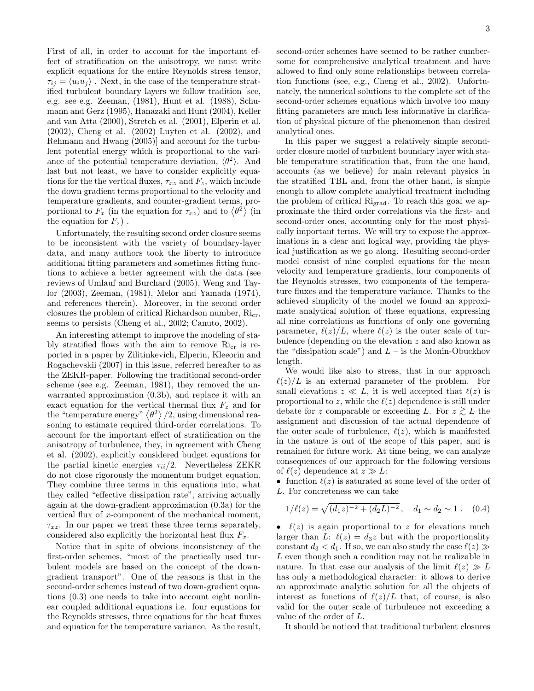First of all, in order to account for the important effect of stratification on the anisotropy, we must write explicit equations for the entire Reynolds stress tensor,  $\tau_{ij} = \langle u_i u_j \rangle$ . Next, in the case of the temperature stratified turbulent boundary layers we follow tradition [see, e.g. see e.g. Zeeman, (1981), Hunt et al. (1988), Schumann and Gerz (1995), Hanazaki and Hunt (2004), Keller and van Atta (2000), Stretch et al. (2001), Elperin et al. (2002), Cheng et al. (2002) Luyten et al. (2002), and Rehmann and Hwang (2005)] and account for the turbulent potential energy which is proportional to the variance of the potential temperature deviation,  $\langle \theta^2 \rangle$ . And last but not least, we have to consider explicitly equations for the the vertical fluxes,  $\tau_{xz}$  and  $F_z$ , which include the down gradient terms proportional to the velocity and temperature gradients, and counter-gradient terms, proportional to  $F_x$  (in the equation for  $\tau_{xz}$ ) and to  $\langle \theta^2 \rangle$  (in the equation for  $F_z$ ).

Unfortunately, the resulting second order closure seems to be inconsistent with the variety of boundary-layer data, and many authors took the liberty to introduce additional fitting parameters and sometimes fitting functions to achieve a better agreement with the data (see reviews of Umlauf and Burchard (2005), Weng and Taylor (2003), Zeeman, (1981), Melor and Yamada (1974), and references therein). Moreover, in the second order closures the problem of critical Richardson number,  $\mathrm{Ric}_{r}$ , seems to persists (Cheng et al., 2002; Canuto, 2002).

An interesting attempt to improve the modeling of stably stratified flows with the aim to remove  $\mathrm{Ric}_{r}$  is reported in a paper by Zilitinkevich, Elperin, Kleeorin and Rogachevskii (2007) in this issue, referred hereafter to as the ZEKR-paper. Following the traditional second-order scheme (see e.g. Zeeman, 1981), they removed the unwarranted approximation (0.3b), and replace it with an exact equation for the vertical thermal flux  $F_z$  and for the "temperature energy"  $\langle \theta^2 \rangle / 2$ , using dimensional reasoning to estimate required third-order correlations. To account for the important effect of stratification on the anisotropy of turbulence, they, in agreement with Cheng et al. (2002), explicitly considered budget equations for the partial kinetic energies  $\tau_{ii}/2$ . Nevertheless ZEKR do not close rigorously the momentum budget equation. They combine three terms in this equations into, what they called "effective dissipation rate", arriving actually again at the down-gradient approximation (0.3a) for the vertical flux of x-component of the mechanical moment,  $\tau_{xz}$ . In our paper we treat these three terms separately, considered also explicitly the horizontal heat flux  $F_x$ .

Notice that in spite of obvious inconsistency of the first-order schemes, "most of the practically used turbulent models are based on the concept of the downgradient transport". One of the reasons is that in the second-order schemes instead of two down-gradient equations (0.3) one needs to take into account eight nonlinear coupled additional equations i.e. four equations for the Reynolds stresses, three equations for the heat fluxes and equation for the temperature variance. As the result,

second-order schemes have seemed to be rather cumbersome for comprehensive analytical treatment and have allowed to find only some relationships between correlation functions (see, e.g., Cheng et al., 2002). Unfortunately, the numerical solutions to the complete set of the second-order schemes equations which involve too many fitting parameters are much less informative in clarification of physical picture of the phenomenon than desired analytical ones.

In this paper we suggest a relatively simple secondorder closure model of turbulent boundary layer with stable temperature stratification that, from the one hand, accounts (as we believe) for main relevant physics in the stratified TBL and, from the other hand, is simple enough to allow complete analytical treatment including the problem of critical Rigrad. To reach this goal we approximate the third order correlations via the first- and second-order ones, accounting only for the most physically important terms. We will try to expose the approximations in a clear and logical way, providing the physical justification as we go along. Resulting second-order model consist of nine coupled equations for the mean velocity and temperature gradients, four components of the Reynolds stresses, two components of the temperature fluxes and the temperature variance. Thanks to the achieved simplicity of the model we found an approximate analytical solution of these equations, expressing all nine correlations as functions of only one governing parameter,  $\ell(z)/L$ , where  $\ell(z)$  is the outer scale of turbulence (depending on the elevation z and also known as the "dissipation scale") and  $L -$  is the Monin-Obuckhov length.

We would like also to stress, that in our approach  $\ell(z)/L$  is an external parameter of the problem. For small elevations  $z \ll L$ , it is well accepted that  $\ell(z)$  is proportional to z, while the  $\ell(z)$  dependence is still under debate for z comparable or exceeding L. For  $z \gtrsim L$  the assignment and discussion of the actual dependence of the outer scale of turbulence,  $\ell(z)$ , which is manifested in the nature is out of the scope of this paper, and is remained for future work. At time being, we can analyze consequences of our approach for the following versions of  $\ell(z)$  dependence at  $z \gg L$ :

• function  $\ell(z)$  is saturated at some level of the order of L. For concreteness we can take

$$
1/\ell(z) = \sqrt{(d_1 z)^{-2} + (d_2 L)^{-2}}, \quad d_1 \sim d_2 \sim 1. \quad (0.4)
$$

•  $\ell(z)$  is again proportional to z for elevations much larger than L:  $\ell(z) = d_3z$  but with the proportionality constant  $d_3 < d_1$ . If so, we can also study the case  $\ell(z) \gg$ L even though such a condition may not be realizable in nature. In that case our analysis of the limit  $\ell(z) \gg L$ has only a methodological character: it allows to derive an approximate analytic solution for all the objects of interest as functions of  $\ell(z)/L$  that, of course, is also valid for the outer scale of turbulence not exceeding a value of the order of L.

It should be noticed that traditional turbulent closures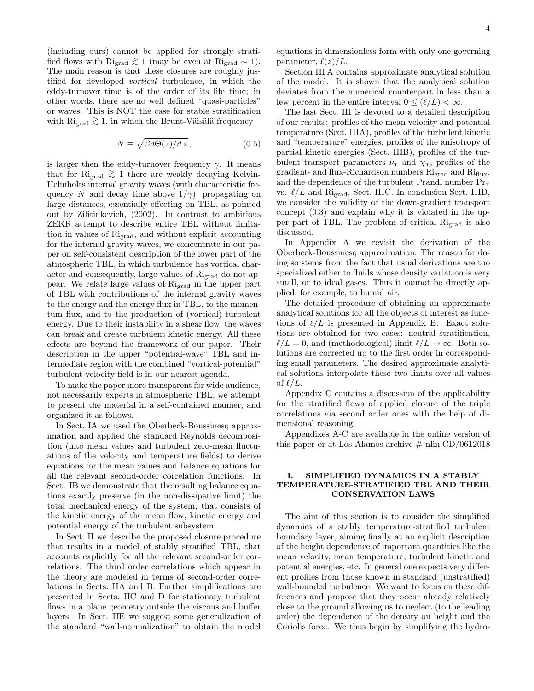(including ours) cannot be applied for strongly stratified flows with Ri<sub>grad</sub>  $\gtrsim 1$  (may be even at Ri<sub>grad</sub> ~ 1). The main reason is that these closures are roughly justified for developed vortical turbulence, in which the eddy-turnover time is of the order of its life time; in other words, there are no well defined "quasi-particles" or waves. This is NOT the case for stable stratification with Ri<sub>grad</sub>  $\gtrsim$  1, in which the Brunt-Väisälä frequency

$$
N \equiv \sqrt{\beta d\Theta(z)/dz},\qquad(0.5)
$$

is larger then the eddy-turnover frequency  $\gamma$ . It means that for Ri<sub>grad</sub>  $\gtrsim$  1 there are weakly decaying Kelvin-Helmholts internal gravity waves (with characteristic frequency N and decay time above  $1/\gamma$ , propagating on large distances, essentially effecting on TBL, as pointed out by Zilitinkevich, (2002). In contrast to ambitious ZEKR attempt to describe entire TBL without limitation in values of Rigrad, and without explicit accounting for the internal gravity waves, we concentrate in our paper on self-consistent description of the lower part of the atmospheric TBL, in which turbulence has vortical character and consequently, large values of Rigrad do not appear. We relate large values of Rigrad in the upper part of TBL with contributions of the internal gravity waves to the energy and the energy flux in TBL, to the momentum flux, and to the production of (vortical) turbulent energy. Due to their instability in a shear flow, the waves can break and create turbulent kinetic energy. All these effects are beyond the framework of our paper. Their description in the upper "potential-wave" TBL and intermediate region with the combined "vortical-potential" turbulent velocity field is in our nearest agenda.

To make the paper more transparent for wide audience, not necessarily experts in atmospheric TBL, we attempt to present the material in a self-contained manner, and organized it as follows.

In Sect. IA we used the Oberbeck-Boussinesq approximation and applied the standard Reynolds decomposition (into mean values and turbulent zero-mean fluctuations of the velocity and temperature fields) to derive equations for the mean values and balance equations for all the relevant second-order correlation functions. In Sect. IB we demonstrate that the resulting balance equations exactly preserve (in the non-dissipative limit) the total mechanical energy of the system, that consists of the kinetic energy of the mean flow, kinetic energy and potential energy of the turbulent subsystem.

In Sect. II we describe the proposed closure procedure that results in a model of stably stratified TBL, that accounts explicitly for all the relevant second-order correlations. The third order correlations which appear in the theory are modeled in terms of second-order correlations in Sects. IIA and B. Further simplifications are presented in Sects. IIC and D for stationary turbulent flows in a plane geometry outside the viscous and buffer layers. In Sect. IIE we suggest some generalization of the standard "wall-normalization" to obtain the model equations in dimensionless form with only one governing parameter,  $\ell(z)/L$ .

Section III A contains approximate analytical solution of the model. It is shown that the analytical solution deviates from the numerical counterpart in less than a few percent in the entire interval  $0 \leq (\ell/L) < \infty$ .

The last Sect. III is devoted to a detailed description of our results: profiles of the mean velocity and potential temperature (Sect. IIIA), profiles of the turbulent kinetic and "temperature" energies, profiles of the anisotropy of partial kinetic energies (Sect. IIIB), profiles of the turbulent transport parameters  $\nu$ <sub>T</sub> and  $\chi$ <sub>T</sub>, profiles of the gradient- and flux-Richardson numbers  $\mathrm{Ri}_{\mathrm{grad}}$  and  $\mathrm{Ri}_{\mathrm{flux}}$ , and the dependence of the turbulent Prandl number  $Pr_T$ vs.  $\ell/L$  and Ri<sub>grad</sub>, Sect. IIIC. In conclusion Sect. IIID, we consider the validity of the down-gradient transport concept (0.3) and explain why it is violated in the upper part of TBL. The problem of critical  $\mathrm{Ri}_{\mathrm{grad}}$  is also discussed.

In Appendix A we revisit the derivation of the Oberbeck-Boussinesq approximation. The reason for doing so stems from the fact that usual derivations are too specialized either to fluids whose density variation is very small, or to ideal gases. Thus it cannot be directly applied, for example, to humid air.

The detailed procedure of obtaining an approximate analytical solutions for all the objects of interest as functions of  $\ell/L$  is presented in Appendix B. Exact solutions are obtained for two cases: neutral stratification,  $\ell/L = 0$ , and (methodological) limit  $\ell/L \to \infty$ . Both solutions are corrected up to the first order in corresponding small parameters. The desired approximate analytical solutions interpolate these two limits over all values of  $\ell/L$ .

Appendix C contains a discussion of the applicability for the stratified flows of applied closure of the triple correlations via second order ones with the help of dimensional reasoning.

Appendixes A-C are available in the online version of this paper or at Los-Alamos archive  $\#$  nlin.CD/0612018

# I. SIMPLIFIED DYNAMICS IN A STABLY TEMPERATURE-STRATIFIED TBL AND THEIR CONSERVATION LAWS

The aim of this section is to consider the simplified dynamics of a stably temperature-stratified turbulent boundary layer, aiming finally at an explicit description of the height dependence of important quantities like the mean velocity, mean temperature, turbulent kinetic and potential energies, etc. In general one expects very different profiles from those known in standard (unstratified) wall-bounded turbulence. We want to focus on these differences and propose that they occur already relatively close to the ground allowing us to neglect (to the leading order) the dependence of the density on height and the Coriolis force. We thus begin by simplifying the hydro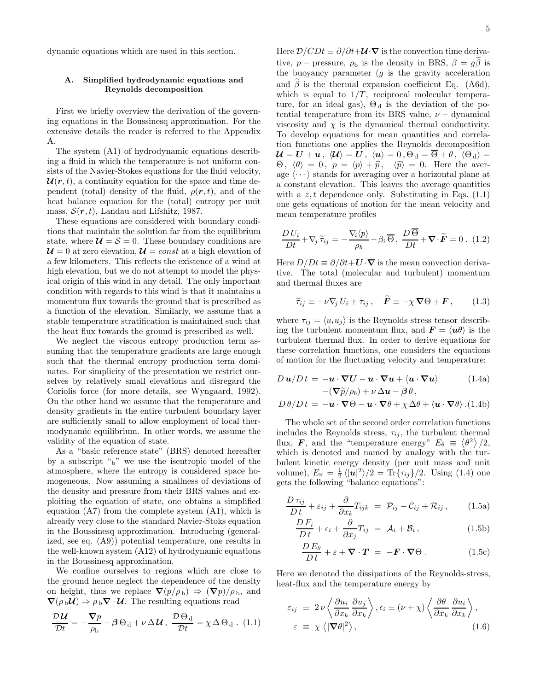dynamic equations which are used in this section.

# A. Simplified hydrodynamic equations and Reynolds decomposition

First we briefly overview the derivation of the governing equations in the Boussinesq approximation. For the extensive details the reader is referred to the Appendix A.

The system (A1) of hydrodynamic equations describing a fluid in which the temperature is not uniform consists of the Navier-Stokes equations for the fluid velocity,  $\mathcal{U}(r, t)$ , a continuity equation for the space and time dependent (total) density of the fluid,  $\rho(\mathbf{r},t)$ , and of the heat balance equation for the (total) entropy per unit mass,  $S(r, t)$ , Landau and Lifshitz, 1987.

These equations are considered with boundary conditions that maintain the solution far from the equilibrium state, where  $\mathcal{U} = \mathcal{S} = 0$ . These boundary conditions are  $\mathcal{U}=0$  at zero elevation,  $\mathcal{U}=const$  at a high elevation of a few kilometers. This reflects the existence of a wind at high elevation, but we do not attempt to model the physical origin of this wind in any detail. The only important condition with regards to this wind is that it maintains a momentum flux towards the ground that is prescribed as a function of the elevation. Similarly, we assume that a stable temperature stratification is maintained such that the heat flux towards the ground is prescribed as well.

We neglect the viscous entropy production term assuming that the temperature gradients are large enough such that the thermal entropy production term dominates. For simplicity of the presentation we restrict ourselves by relatively small elevations and disregard the Coriolis force (for more details, see Wyngaard, 1992). On the other hand we assume that the temperature and density gradients in the entire turbulent boundary layer are sufficiently small to allow employment of local thermodynamic equilibrium. In other words, we assume the validity of the equation of state.

As a "basic reference state" (BRS) denoted hereafter by a subscript " $_b$ " we use the isentropic model of the atmosphere, where the entropy is considered space homogeneous. Now assuming a smallness of deviations of the density and pressure from their BRS values and exploiting the equation of state, one obtains a simplified equation (A7) from the complete system (A1), which is already very close to the standard Navier-Stoks equation in the Boussinesq approximation. Introducing (generalized, see eq. (A9)) potential temperature, one results in the well-known system (A12) of hydrodynamic equations in the Boussinesq approximation.

We confine ourselves to regions which are close to the ground hence neglect the dependence of the density on height, thus we replace  $\nabla (p/\rho_{\rm b}) \Rightarrow (\nabla p)/\rho_{\rm b}$ , and  $\nabla(\rho_{\rm b}\mathcal{U}) \Rightarrow \rho_{\rm b}\nabla \cdot \mathcal{U}$ . The resulting equations read

$$
\frac{\mathcal{D}\mathcal{U}}{\mathcal{D}t} = -\frac{\nabla p}{\rho_b} - \beta \Theta_d + \nu \Delta \mathcal{U}, \frac{\mathcal{D}\Theta_d}{\mathcal{D}t} = \chi \Delta \Theta_d.
$$
 (1.1)

Here  $\mathcal{D}/CDt \equiv \partial/\partial t + \mathcal{U} \cdot \nabla$  is the convection time derivative, p – pressure,  $\rho_{\rm b}$  is the density in BRS,  $\beta = g\tilde{\beta}$  is the buoyancy parameter  $(g$  is the gravity acceleration and  $\beta$  is the thermal expansion coefficient Eq. (A6d), which is equal to  $1/T$ , reciprocal molecular temperature, for an ideal gas),  $\Theta_d$  is the deviation of the potential temperature from its BRS value,  $\nu$  – dynamical viscosity and  $\chi$  is the dynamical thermal conductivity. To develop equations for mean quantities and correlation functions one applies the Reynolds decomposition  $\mathcal{U} = \mathcal{U} + \mathcal{u}$ ,  $\langle \mathcal{U} \rangle = \mathcal{U}$ ,  $\langle \mathcal{u} \rangle = 0$ ,  $\Theta_d = \overline{\Theta} + \theta$ ,  $\langle \Theta_d \rangle =$  $\overline{\Theta}$ ,  $\langle \theta \rangle = 0$ ,  $p = \langle p \rangle + \tilde{p}$ ,  $\langle \tilde{p} \rangle = 0$ . Here the average  $\langle \cdots \rangle$  stands for averaging over a horizontal plane at a constant elevation. This leaves the average quantities with a z, t dependence only. Substituting in Eqs.  $(1.1)$ one gets equations of motion for the mean velocity and mean temperature profiles

$$
\frac{D U_i}{D t} + \nabla_j \widetilde{\tau}_{ij} = -\frac{\nabla_i \langle p \rangle}{\rho_b} - \beta_i \overline{\Theta}, \ \frac{D \overline{\Theta}}{D t} + \nabla \cdot \widetilde{\boldsymbol{F}} = 0 \ . \ (1.2)
$$

Here  $D/Dt \equiv \partial/\partial t + \mathbf{U} \cdot \nabla$  is the mean convection derivative. The total (molecular and turbulent) momentum and thermal fluxes are

$$
\widetilde{\tau}_{ij} \equiv -\nu \nabla_j U_i + \tau_{ij}, \quad \widetilde{F} \equiv -\chi \nabla \Theta + F, \qquad (1.3)
$$

where  $\tau_{ij} = \langle u_i u_j \rangle$  is the Reynolds stress tensor describing the turbulent momentum flux, and  $\mathbf{F} = \langle \mathbf{u}\theta \rangle$  is the turbulent thermal flux. In order to derive equations for these correlation functions, one considers the equations of motion for the fluctuating velocity and temperature:

$$
D \mathbf{u}/Dt = -\mathbf{u} \cdot \nabla \mathbf{U} - \mathbf{u} \cdot \nabla \mathbf{u} + \langle \mathbf{u} \cdot \nabla \mathbf{u} \rangle \qquad (1.4a)
$$

$$
-(\nabla \widetilde{p}/\rho_b) + \nu \Delta \mathbf{u} - \beta \theta,
$$

$$
D \theta/Dt = -\mathbf{u} \cdot \nabla \Theta - \mathbf{u} \cdot \nabla \theta + \chi \Delta \theta + \langle \mathbf{u} \cdot \nabla \theta \rangle. (1.4b)
$$

The whole set of the second order correlation functions includes the Reynolds stress,  $\tau_{ij}$ , the turbulent thermal flux, **F**, and the "temperature energy"  $E_{\theta} \equiv \langle \theta^2 \rangle / 2$ , which is denoted and named by analogy with the turbulent kinetic energy density (per unit mass and unit volume),  $E_{\rm K} = \frac{1}{2} \langle |u|^2 \rangle / 2 = \text{Tr} \{ \tau_{ij} \} / 2$ . Using (1.4) one gets the following "balance equations":

$$
\frac{D \tau_{ij}}{Dt} + \varepsilon_{ij} + \frac{\partial}{\partial x_k} T_{ijk} = \mathcal{P}_{ij} - \mathcal{C}_{ij} + \mathcal{R}_{ij}, \qquad (1.5a)
$$

$$
\frac{DF_i}{Dt} + \epsilon_i + \frac{\partial}{\partial x_j} T_{ij} = \mathcal{A}_i + \mathcal{B}_i, \qquad (1.5b)
$$

$$
\frac{DE_{\theta}}{Dt} + \varepsilon + \nabla \cdot T = -F \cdot \nabla \Theta . \qquad (1.5c)
$$

Here we denoted the dissipations of the Reynolds-stress, heat-flux and the temperature energy by

$$
\varepsilon_{ij} \equiv 2\nu \left\langle \frac{\partial u_i}{\partial x_k} \frac{\partial u_j}{\partial x_k} \right\rangle, \varepsilon_i \equiv (\nu + \chi) \left\langle \frac{\partial \theta}{\partial x_k} \frac{\partial u_i}{\partial x_k} \right\rangle,
$$
\n
$$
\varepsilon \equiv \chi \left\langle |\nabla \theta|^2 \right\rangle, \qquad (1.6)
$$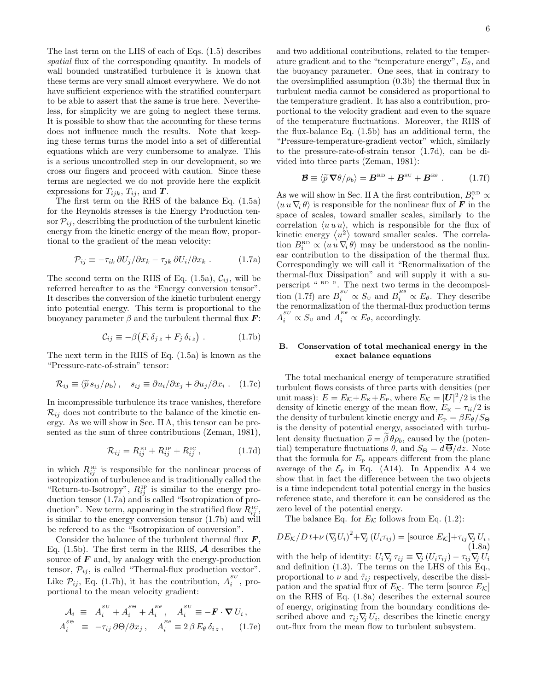The last term on the LHS of each of Eqs. (1.5) describes spatial flux of the corresponding quantity. In models of wall bounded unstratified turbulence it is known that these terms are very small almost everywhere. We do not have sufficient experience with the stratified counterpart to be able to assert that the same is true here. Nevertheless, for simplicity we are going to neglect these terms. It is possible to show that the accounting for these terms does not influence much the results. Note that keeping these terms turns the model into a set of differential equations which are very cumbersome to analyze. This is a serious uncontrolled step in our development, so we cross our fingers and proceed with caution. Since these terms are neglected we do not provide here the explicit expressions for  $T_{ijk}$ ,  $T_{ij}$ , and  $T$ .

The first term on the RHS of the balance Eq. (1.5a) for the Reynolds stresses is the Energy Production tensor  $\mathcal{P}_{ij}$ , describing the production of the turbulent kinetic energy from the kinetic energy of the mean flow, proportional to the gradient of the mean velocity:

$$
\mathcal{P}_{ij} \equiv -\tau_{ik} \,\partial U_j / \partial x_k - \tau_{jk} \,\partial U_i / \partial x_k \ . \tag{1.7a}
$$

The second term on the RHS of Eq. (1.5a),  $\mathcal{C}_{ij}$ , will be referred hereafter to as the "Energy conversion tensor". It describes the conversion of the kinetic turbulent energy into potential energy. This term is proportional to the buoyancy parameter  $\beta$  and the turbulent thermal flux  $\boldsymbol{F}$ :

$$
\mathcal{C}_{ij} \equiv -\beta \big( F_i \, \delta_{j\,z} + F_j \, \delta_{i\,z} \big) \ . \tag{1.7b}
$$

The next term in the RHS of Eq. (1.5a) is known as the "Pressure-rate-of-strain" tensor:

$$
\mathcal{R}_{ij} \equiv \langle \widetilde{p} s_{ij} / \rho_b \rangle, \quad s_{ij} \equiv \partial u_i / \partial x_j + \partial u_j / \partial x_i . \quad (1.7c)
$$

In incompressible turbulence its trace vanishes, therefore  $\mathcal{R}_{ij}$  does not contribute to the balance of the kinetic energy. As we will show in Sec. II A, this tensor can be presented as the sum of three contributions (Zeman, 1981),

$$
\mathcal{R}_{ij} = R_{ij}^{\text{RI}} + R_{ij}^{\text{IP}} + R_{ij}^{\text{IC}}\,,\tag{1.7d}
$$

in which  $R_{ij}^{\text{RI}}$  is responsible for the nonlinear process of isotropization of turbulence and is traditionally called the "Return-to-Isotropy",  $R_{ij}^{\text{IP}}$  is similar to the energy production tensor (1.7a) and is called "Isotropization of production". New term, appearing in the stratified flow  $R_{ij}^{\text{IC}}$ , is similar to the energy conversion tensor (1.7b) and will be refereed to as the "Isotropization of conversion".

Consider the balance of the turbulent thermal flux  $\bm{F}$ , Eq. (1.5b). The first term in the RHS,  $\boldsymbol{\mathcal{A}}$  describes the source of  $\bf{F}$  and, by analogy with the energy-production tensor,  $\mathcal{P}_{ij}$ , is called "Thermal-flux production vector". Like  $\mathcal{P}_{ij}$ , Eq. (1.7b), it has the contribution,  $A_i^{SU}$ , proportional to the mean velocity gradient:

$$
\mathcal{A}_i \equiv A_i^{SU} + A_i^{SO} + A_i^{E\theta}, \quad A_i^{SU} \equiv -\mathbf{F} \cdot \nabla U_i,
$$
  

$$
A_i^{SO} \equiv -\tau_{ij} \partial \Theta / \partial x_j, \quad A_i^{E\theta} \equiv 2 \beta E_\theta \delta_{iz}, \quad (1.7e)
$$

and two additional contributions, related to the temperature gradient and to the "temperature energy",  $E_{\theta}$ , and the buoyancy parameter. One sees, that in contrary to the oversimplified assumption (0.3b) the thermal flux in turbulent media cannot be considered as proportional to the temperature gradient. It has also a contribution, proportional to the velocity gradient and even to the square of the temperature fluctuations. Moreover, the RHS of the flux-balance Eq. (1.5b) has an additional term, the "Pressure-temperature-gradient vector" which, similarly to the pressure-rate-of-strain tensor (1.7d), can be divided into three parts (Zeman, 1981):

$$
\mathcal{B} \equiv \langle \widetilde{p} \, \nabla \theta / \rho_b \rangle = \boldsymbol{B}^{\text{\tiny RD}} + \boldsymbol{B}^{\text{\tiny SU}} + \boldsymbol{B}^{\text{\tiny E}\theta} \; . \tag{1.7f}
$$

As we will show in Sec. II A the first contribution,  $B_i^{RD} \propto$  $\langle u \, u \, \nabla_i \, \theta \rangle$  is responsible for the nonlinear flux of **F** in the space of scales, toward smaller scales, similarly to the correlation  $\langle u \, u \, u \rangle$ , which is responsible for the flux of kinetic energy  $\langle u^2 \rangle$  toward smaller scales. The correlation  $B_i^{\text{\tiny RD}} \propto \langle u \, u \, \nabla_i \, \theta \rangle$  may be understood as the nonlinear contribution to the dissipation of the thermal flux. Correspondingly we will call it "Renormalization of the thermal-flux Dissipation" and will supply it with a superscript " RD ". The next two terms in the decomposition (1.7f) are  $B_i^{SU} \propto S_U$  and  $B_i^{E\theta} \propto E_\theta$ . They describe the renormalization of the thermal-flux production terms  $A_i^{SU} \propto S_U$  and  $A_i^{E\theta} \propto E_\theta$ , accordingly.

## B. Conservation of total mechanical energy in the exact balance equations

The total mechanical energy of temperature stratified turbulent flows consists of three parts with densities (per unit mass):  $E = E_K + E_K + E_F$ , where  $E_K = |U|^2/2$  is the density of kinetic energy of the mean flow,  $E_{\rm K} = \tau_{ii}/2$  is the density of turbulent kinetic energy and  $E_P = \beta E_\theta / S_\Theta$ is the density of potential energy, associated with turbulent density fluctuation  $\tilde{\rho} = \beta \theta \rho_b$ , caused by the (potential) temperature fluctuations  $\theta$ , and  $S_{\Theta} = d\overline{\Theta}/dz$ . Note that the formula for  $E_{\rm P}$  appears different from the plane average of the  $\mathcal{E}_P$  in Eq. (A14). In Appendix A 4 we show that in fact the difference between the two objects is a time independent total potential energy in the basics reference state, and therefore it can be considered as the zero level of the potential energy.

The balance Eq. for  $E_K$  follows from Eq. (1.2):

 $DE_K/D t + \nu (\nabla_j U_i)^2 + \nabla_j (U_i \tau_{ij}) = [\text{source } E_K] + \tau_{ij} \nabla_j U_i,$ (1.8a) with the help of identity:  $U_i \nabla_j \tau_{ij} \equiv \nabla_j (U_i \tau_{ij}) - \tau_{ij} \nabla_j U_i$ and definition (1.3). The terms on the LHS of this Eq., proportional to  $\nu$  and  $\tilde{\tau}_{ij}$  respectively, describe the dissipation and the spatial flux of  $E_K$ . The term [source  $E_K$ ] on the RHS of Eq. (1.8a) describes the external source of energy, originating from the boundary conditions described above and  $\tau_{ij} \nabla_j U_i$ , describes the kinetic energy out-flux from the mean flow to turbulent subsystem.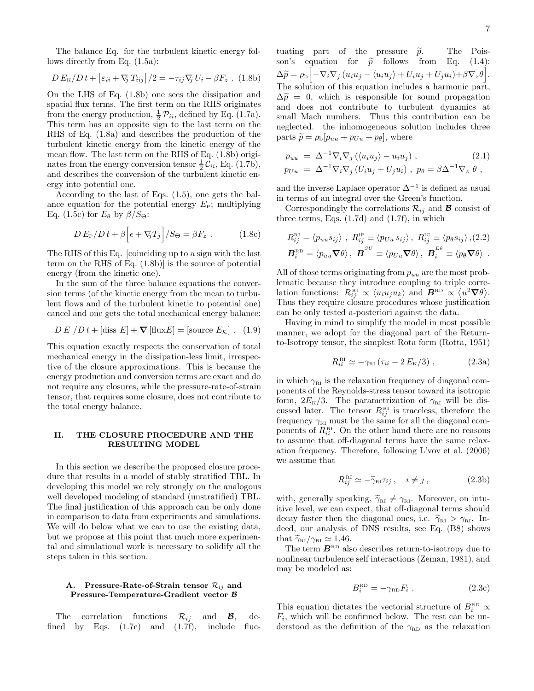The balance Eq. for the turbulent kinetic energy follows directly from Eq. (1.5a):

$$
D E_{\rm K}/Dt + \left[\varepsilon_{ii} + \nabla_j T_{iij}\right]/2 = -\tau_{ij}\nabla_j U_i - \beta F_z \ . \ (1.8b)
$$

On the LHS of Eq. (1.8b) one sees the dissipation and spatial flux terms. The first term on the RHS originates from the energy production,  $\frac{1}{2} \mathcal{P}_{ii}$ , defined by Eq. (1.7a). This term has an opposite sign to the last term on the RHS of Eq. (1.8a) and describes the production of the turbulent kinetic energy from the kinetic energy of the mean flow. The last term on the RHS of Eq.  $(1.8b)$  originates from the energy conversion tensor  $\frac{1}{2}\mathcal{C}_{ii}$ , Eq. (1.7b), and describes the conversion of the turbulent kinetic energy into potential one.

According to the last of Eqs. (1.5), one gets the balance equation for the potential energy  $E<sub>P</sub>$ ; multiplying Eq. (1.5c) for  $E_{\theta}$  by  $\beta/S_{\Theta}$ :

$$
D E_{\rm P} / D t + \beta \Big[ \epsilon + \nabla_{\!j} T_j \Big] / S_{\Theta} = \beta F_z \ . \tag{1.8c}
$$

The RHS of this Eq. [coinciding up to a sign with the last term on the RHS of Eq. (1.8b)] is the source of potential energy (from the kinetic one).

In the sum of the three balance equations the conversion terms (of the kinetic energy from the mean to turbulent flows and of the turbulent kinetic to potential one) cancel and one gets the total mechanical energy balance:

$$
DE / Dt + [diss E] + \nabla [flux E] = [source EK]. (1.9)
$$

This equation exactly respects the conservation of total mechanical energy in the dissipation-less limit, irrespective of the closure approximations. This is because the energy production and conversion terms are exact and do not require any closures, while the pressure-rate-of-strain tensor, that requires some closure, does not contribute to the total energy balance.

# II. THE CLOSURE PROCEDURE AND THE RESULTING MODEL

In this section we describe the proposed closure procedure that results in a model of stably stratified TBL. In developing this model we rely strongly on the analogous well developed modeling of standard (unstratified) TBL. The final justification of this approach can be only done in comparison to data from experiments and simulations. We will do below what we can to use the existing data, but we propose at this point that much more experimental and simulational work is necessary to solidify all the steps taken in this section.

# A. Pressure-Rate-of-Strain tensor  $\mathcal{R}_{ij}$  and Pressure-Temperature-Gradient vector B

The correlation functions  $\mathcal{R}_{ij}$  and **B**, de-<br>led by Eqs. (1.7c) and (1.7f), include flucfined by Eqs.  $(1.7c)$  and  $(1.7f)$ , include

tuating part of the pressure  $\tilde{p}$ . The Pois-<br>son's equation for  $\tilde{p}$  follows from Eq. (1.4): son's equation for  $\tilde{p}$  follows from Eq.  $\Delta \widetilde{p} = \rho_{\rm b} \Bigl[ -\nabla_i \nabla_j \left( u_i u_j - \langle u_i u_j \rangle + U_i u_j + U_j u_i \right) + \beta \nabla_z \theta \Bigr].$ The solution of this equation includes a harmonic part,  $\Delta \tilde{p} = 0$ , which is responsible for sound propagation and does not contribute to turbulent dynamics at small Mach numbers. Thus this contribution can be neglected. the inhomogeneous solution includes three parts  $\tilde{p} = \rho_b[p_{uu} + p_{Uu} + p_{\theta}],$  where

$$
p_{uu} = \Delta^{-1} \nabla_i \nabla_j \left( \langle u_i u_j \rangle - u_i u_j \right),
$$
  
\n
$$
p_{Uu} = \Delta^{-1} \nabla_i \nabla_j \left( U_i u_j + U_j u_i \right), \quad p_{\theta} = \beta \Delta^{-1} \nabla_z \theta,
$$
\n(2.1)

and the inverse Laplace operator  $\Delta^{-1}$  is defined as usual in terms of an integral over the Green's function.

Correspondingly the correlations  $\mathcal{R}_{ij}$  and **B** consist of three terms, Eqs. (1.7d) and (1.7f), in which

$$
R_{ij}^{\text{RI}} = \langle p_{uu} s_{ij} \rangle , R_{ij}^{\text{IP}} \equiv \langle p_{Uu} s_{ij} \rangle , R_{ij}^{\text{IC}} \equiv \langle p_{\theta} s_{ij} \rangle , (2.2)
$$
  

$$
\boldsymbol{B}_i^{\text{RD}} = \langle p_{uu} \boldsymbol{\nabla} \theta \rangle , \boldsymbol{B}^{SU} \equiv \langle p_{Uu} \boldsymbol{\nabla} \theta \rangle , \boldsymbol{B}_i^{E\theta} \equiv \langle p_{\theta} \boldsymbol{\nabla} \theta \rangle .
$$

All of those terms originating from  $p_{uu}$  are the most problematic because they introduce coupling to triple correlation functions:  $R_{ij}^{\text{\tiny{RII}}} \propto \langle u_i u_j u_k \rangle$  and  $B^{\text{\tiny{RD}}} \propto \langle u^2 \nabla \theta \rangle$ . Thus they require closure procedures whose justification can be only tested a-posteriori against the data.

Having in mind to simplify the model in most possible manner, we adopt for the diagonal part of the Returnto-Isotropy tensor, the simplest Rota form (Rotta, 1951)

$$
R_{ii}^{\text{RI}} \simeq -\gamma_{\text{RI}} \left( \tau_{ii} - 2 E_{\text{K}}/3 \right), \qquad (2.3a)
$$

in which  $\gamma_{\text{RI}}$  is the relaxation frequency of diagonal components of the Reynolds-stress tensor toward its isotropic form,  $2E_K/3$ . The parametrization of  $\gamma_{\text{RI}}$  will be discussed later. The tensor  $R_{ij}^{\text{\tiny{RI}}}$  is traceless, therefore the frequency  $\gamma_{\text{RI}}$  must be the same for all the diagonal components of  $R_{ii}^{\text{RI}}$ . On the other hand there are no reasons to assume that off-diagonal terms have the same relaxation frequency. Therefore, following L'vov et al. (2006) we assume that

$$
R_{ij}^{\text{RI}} \simeq -\tilde{\gamma}_{\text{RI}} \tau_{ij} , \quad i \neq j , \qquad (2.3b)
$$

with, generally speaking,  $\widetilde{\gamma}_{\text{RI}} \neq \gamma_{\text{RI}}$ . Moreover, on intuitive level, we can expect, that off-diagonal terms should decay faster then the diagonal ones, i.e.  $\tilde{\gamma}_{RI} > \gamma_{RI}$ . Indeed, our analysis of DNS results, see Eq. (B8) shows that  $\widetilde{\gamma}_{\text{RI}}/\gamma_{\text{RI}} \simeq 1.46$ .

The term  $B_{\text{RD}}$  also describes return-to-isotropy due to nonlinear turbulence self interactions (Zeman, 1981), and may be modeled as:

$$
B_i^{\text{RD}} = -\gamma_{\text{RD}} F_i \tag{2.3c}
$$

This equation dictates the vectorial structure of  $B_i^{RD} \propto$  $F_i$ , which will be confirmed below. The rest can be understood as the definition of the  $\gamma_{\text{RD}}$  as the relaxation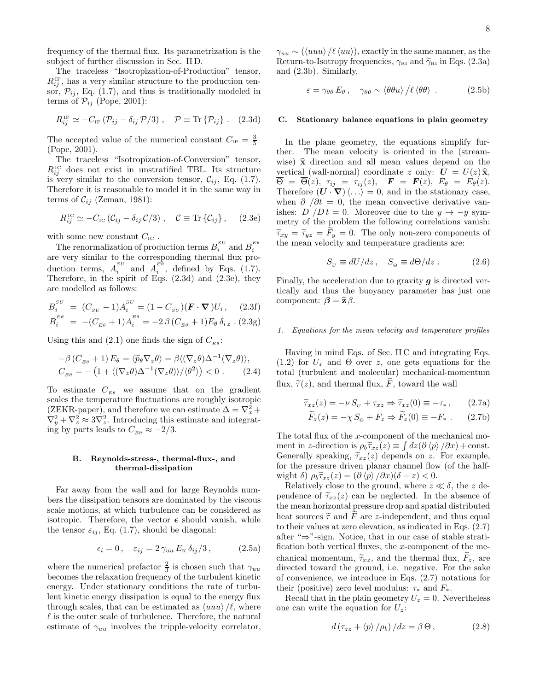frequency of the thermal flux. Its parametrization is the subject of further discussion in Sec. II D.

The traceless "Isotropization-of-Production" tensor,  $R_{ij}^{\text{IP}}$ , has a very similar structure to the production tensor,  $\mathcal{P}_{ij}$ , Eq. (1.7), and thus is traditionally modeled in terms of  $\mathcal{P}_{ij}$  (Pope, 2001):

$$
R_{ij}^{\text{IP}} \simeq -C_{\text{IP}} \left( \mathcal{P}_{ij} - \delta_{ij} \mathcal{P} / 3 \right), \quad \mathcal{P} \equiv \text{Tr} \left\{ \mathcal{P}_{ij} \right\}. \quad (2.3d)
$$

The accepted value of the numerical constant  $C_{\text{IP}} = \frac{3}{5}$ (Pope, 2001).

The traceless "Isotropization-of-Conversion" tensor,  $R_{ij}^{\text{IC}}$  does not exist in unstratified TBL. Its structure is very similar to the conversion tensor,  $C_{ij}$ , Eq. (1.7). Therefore it is reasonable to model it in the same way in terms of  $\mathcal{C}_{ij}$  (Zeman, 1981):

$$
R_{ij}^{\text{IC}} \simeq -C_{\text{IC}} \left( \mathcal{C}_{ij} - \delta_{ij} \, \mathcal{C} / 3 \right) \,, \quad \mathcal{C} \equiv \text{Tr} \left\{ \mathcal{C}_{ij} \right\}, \quad (2.3e)
$$

with some new constant  $C_{\text{IC}}$ .

The renormalization of production terms  $B_i^{sv}$  and  $B_i^{E\theta}$ are very similar to the corresponding thermal flux production terms,  $A_i^{SU}$  and  $A_i^{EB}$ , defined by Eqs. (1.7). Therefore, in the spirit of Eqs. (2.3d) and (2.3e), they are modelled as follows:

$$
B_i^{SU} = (C_{SU} - 1)A_i^{SU} = (1 - C_{SU})(\mathbf{F} \cdot \nabla)U_i, \quad (2.3f)
$$
  
\n
$$
B_i^{E\theta} = -(C_{E\theta} + 1)A_i^{E\theta} = -2\beta(C_{E\theta} + 1)E_{\theta}\delta_{iz}.
$$
 (2.3g)

Using this and (2.1) one finds the sign of  $C_{E\theta}$ :

$$
-\beta \left( C_{E\theta} + 1 \right) E_{\theta} = \langle \widetilde{p}_{\theta} \nabla_{z} \theta \rangle = \beta \langle (\nabla_{z} \theta) \Delta^{-1} (\nabla_{z} \theta) \rangle,
$$
  
\n
$$
C_{E\theta} = -\left( 1 + \langle (\nabla_{z} \theta) \Delta^{-1} (\nabla_{z} \theta) \rangle / \langle \theta^{2} \rangle \right) < 0. \quad (2.4)
$$

To estimate  $C_{E\theta}$  we assume that on the gradient scales the temperature fluctuations are roughly isotropic  $(ZEKR\text{-paper})$ , and therefore we can estimate  $\Delta = \nabla_x^2 +$  $\nabla_y^2 + \nabla_z^2 \approx 3\nabla_z^2$ . Introducing this estimate and integrating by parts leads to  $C_{E\theta} \approx -2/3$ .

### B. Reynolds-stress-, thermal-flux-, and thermal-dissipation

Far away from the wall and for large Reynolds numbers the dissipation tensors are dominated by the viscous scale motions, at which turbulence can be considered as isotropic. Therefore, the vector  $\epsilon$  should vanish, while the tensor  $\varepsilon_{ij}$ , Eq. (1.7), should be diagonal:

$$
\epsilon_i = 0 \,, \quad \varepsilon_{ij} = 2 \,\gamma_{uu} \, E_{\rm K} \, \delta_{ij} / 3 \,, \tag{2.5a}
$$

where the numerical prefactor  $\frac{2}{3}$  is chosen such that  $\gamma_{uu}$ becomes the relaxation frequency of the turbulent kinetic energy. Under stationary conditions the rate of turbulent kinetic energy dissipation is equal to the energy flux through scales, that can be estimated as  $\langle u u u \rangle / \ell$ , where  $\ell$  is the outer scale of turbulence. Therefore, the natural estimate of  $\gamma_{uu}$  involves the tripple-velocity correlator,

 $\gamma_{uu} \sim (\langle uu \rangle / \ell \langle uu \rangle),$  exactly in the same manner, as the Return-to-Isotropy frequencies,  $\gamma_{\text{RI}}$  and  $\widetilde{\gamma}_{\text{RI}}$  in Eqs. (2.3a) and (2.3b). Similarly,

$$
\varepsilon = \gamma_{\theta\theta} E_{\theta}, \quad \gamma_{\theta\theta} \sim \langle \theta \theta u \rangle / \ell \langle \theta \theta \rangle . \tag{2.5b}
$$

## C. Stationary balance equations in plain geometry

In the plane geometry, the equations simplify further. The mean velocity is oriented in the (streamwise)  $\hat{\mathbf{x}}$  direction and all mean values depend on the vertical (wall-normal) coordinate z only:  $\boldsymbol{U} = U(z) \hat{\mathbf{x}},$  $\overline{\Theta} = \overline{\Theta}(z), \tau_{ij} = \tau_{ij}(z), \quad \mathbf{F} = \mathbf{F}(z), \ E_{\theta} = E_{\theta}(z).$ Therefore  $(U \cdot \nabla) \langle ... \rangle = 0$ , and in the stationary case, when  $\partial/\partial t = 0$ , the mean convective derivative vanishes:  $D/Dt = 0$ . Moreover due to the  $y \rightarrow -y$  symmetry of the problem the following correlations vanish:  $\widetilde{\tau}_{xy} = \widetilde{\tau}_{yz} = F_y = 0$ . The only non-zero components of the mean velocity and temperature gradients are:

$$
S_U \equiv dU/dz \,, \quad S_\Theta \equiv d\Theta/dz \,. \tag{2.6}
$$

Finally, the acceleration due to gravity  $q$  is directed vertically and thus the buoyancy parameter has just one component:  $\boldsymbol{\beta} = \hat{\mathbf{z}} \boldsymbol{\beta}$ .

# 1. Equations for the mean velocity and temperature profiles

Having in mind Eqs. of Sec. II C and integrating Eqs. (1.2) for  $U_x$  and  $\Theta$  over z, one gets equations for the total (turbulent and molecular) mechanical-momentum flux,  $\tilde{\tau}(z)$ , and thermal flux, F, toward the wall

$$
\widetilde{\tau}_{xz}(z) = -\nu \, S_U + \tau_{xz} \Rightarrow \widetilde{\tau}_{xz}(0) \equiv -\tau_*, \qquad (2.7a)
$$

$$
F_z(z) = -\chi S_\Theta + F_z \Rightarrow F_z(0) \equiv -F_* \ . \tag{2.7b}
$$

The total flux of the x-component of the mechanical moment in z-direction is  $\rho_b \tilde{\tau}_{xz}(z) \equiv \int dz (\partial \langle p \rangle / \partial x) + \text{const.}$ Generally speaking,  $\tilde{\tau}_{xz}(z)$  depends on z. For example, for the pressure driven planar channel flow (of the halfwight  $\delta$ )  $\rho_b \tilde{\tau}_{xz}(z) = (\partial \langle p \rangle / \partial x)(\delta - z) < 0.$ 

Relatively close to the ground, where  $z \ll \delta$ , the z dependence of  $\tilde{\tau}_{xz}(z)$  can be neglected. In the absence of the mean horizontal pressure drop and spatial distributed heat sources  $\tilde{\tau}$  and F are z-independent, and thus equal to their values at zero elevation, as indicated in Eqs. (2.7) after "⇒"-sign. Notice, that in our case of stable stratification both vertical fluxes, the x-component of the mechanical momentum,  $\tilde{\tau}_{xz}$ , and the thermal flux,  $\tilde{F}_z$ , are directed toward the ground, i.e. negative. For the sake of convenience, we introduce in Eqs. (2.7) notations for their (positive) zero level modulus:  $\tau_*$  and  $F_*$ .

Recall that in the plain geometry  $U_z = 0$ . Nevertheless one can write the equation for  $U_z$ :

$$
d\left(\tau_{zz} + \langle p \rangle / \rho_b\right) / dz = \beta \Theta, \qquad (2.8)
$$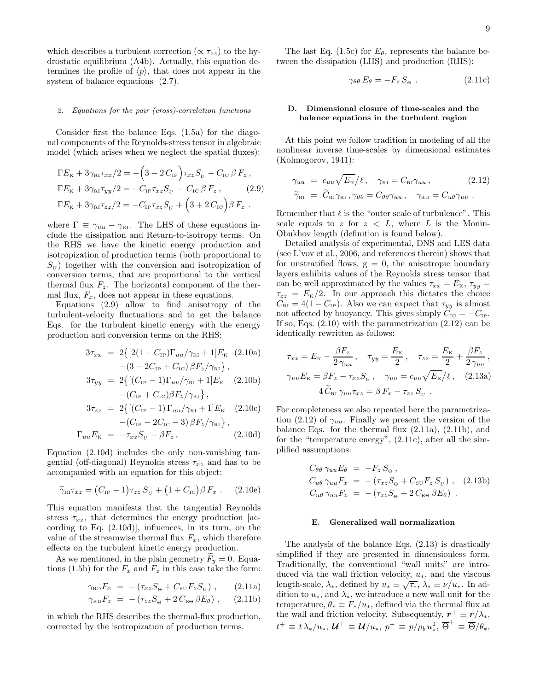which describes a turbulent correction ( $\propto \tau_{zz}$ ) to the hydrostatic equilibrium (A4b). Actually, this equation determines the profile of  $\langle p \rangle$ , that does not appear in the system of balance equations  $(2.7)$ .

### 2. Equations for the pair (cross)-correlation functions

Consider first the balance Eqs. (1.5a) for the diagonal components of the Reynolds-stress tensor in algebraic model (which arises when we neglect the spatial fluxes):

$$
\Gamma E_{\rm K} + 3\gamma_{\rm RI} \tau_{xx}/2 = -\left(3 - 2 C_{\rm IP}\right) \tau_{xz} S_{\rm U} - C_{\rm IC} \beta F_z ,
$$
  
\n
$$
\Gamma E_{\rm K} + 3\gamma_{\rm RI} \tau_{yy}/2 = -C_{\rm IP} \tau_{xz} S_{\rm U} - C_{\rm IC} \beta F_z ,
$$
  
\n
$$
\Gamma E_{\rm K} + 3\gamma_{\rm RI} \tau_{zz}/2 = -C_{\rm IP} \tau_{xz} S_{\rm U} + \left(3 + 2 C_{\rm IC}\right) \beta F_z .
$$

where  $\Gamma \equiv \gamma_{uu} - \gamma_{\text{RI}}$ . The LHS of these equations include the dissipation and Return-to-isotropy terms. On the RHS we have the kinetic energy production and isotropization of production terms (both proportional to  $S_U$ ) together with the conversion and isotropization of conversion terms, that are proportional to the vertical thermal flux  $F_z$ . The horizontal component of the thermal flux,  $F_x$ , does not appear in these equations.

Equations (2.9) allow to find anisotropy of the turbulent-velocity fluctuations and to get the balance Eqs. for the turbulent kinetic energy with the energy production and conversion terms on the RHS:

$$
3\tau_{xx} = 2\{[2(1 - C_{IP})\Gamma_{uu}/\gamma_{\text{RI}} + 1]E_{\text{K}} \quad (2.10a)
$$

$$
- (3 - 2C_{IP} + C_{IC})\beta F_{z}/\gamma_{\text{RI}}\},
$$

$$
3\tau_{yy} = 2\{[(C_{IP} - 1)\Gamma_{uu}/\gamma_{\text{RI}} + 1]E_{\text{K}} \quad (2.10b)
$$

$$
-(C_{IP} + C_{IC})\beta F_{z}/\gamma_{\text{RI}}\},
$$

$$
3\tau_{zz} = 2\{[(C_{IP} - 1)\Gamma_{uu}/\gamma_{\text{RI}} + 1]E_{\text{K}} \quad (2.10c)
$$

$$
-(C_{IP} - 2C_{IC} - 3)\beta F_{z}/\gamma_{\text{RI}}\},
$$

$$
\Gamma_{uu} E_{\kappa} = -\tau_{xz} S_U + \beta F_z, \qquad (2.10d)
$$

Equation (2.10d) includes the only non-vanishing tangential (off-diagonal) Reynolds stress  $\tau_{xz}$  and has to be accompanied with an equation for this object:

$$
\widetilde{\gamma}_{\text{RI}} \tau_{xz} = (C_{\text{IP}} - 1) \tau_{zz} S_U + (1 + C_{\text{IC}}) \beta F_x . \quad (2.10e)
$$

This equation manifests that the tangential Reynolds stress  $\tau_{xz}$ , that determines the energy production [according to Eq. (2.10d)], influences, in its turn, on the value of the streamwise thermal flux  $F_x$ , which therefore effects on the turbulent kinetic energy production.

As we mentioned, in the plain geometry  $\tilde{F}_u = 0$ . Equations (1.5b) for the  $F_x$  and  $F_z$  in this case take the form:

$$
\gamma_{\rm RD} F_x = -(\tau_{xz} S_\Theta + C_{\rm SU} F_z S_U) , \qquad (2.11a)
$$

$$
\gamma_{\text{RD}} F_z = -(\tau_{zz} S_\Theta + 2 C_{\text{E}\Theta} \beta E_\theta) , \quad (2.11b)
$$

in which the RHS describes the thermal-flux production, corrected by the isotropization of production terms.

The last Eq. (1.5c) for  $E_{\theta}$ , represents the balance between the dissipation (LHS) and production (RHS):

$$
\gamma_{\theta\theta} E_{\theta} = -F_z S_{\Theta} . \qquad (2.11c)
$$

### D. Dimensional closure of time-scales and the balance equations in the turbulent region

At this point we follow tradition in modeling of all the nonlinear inverse time-scales by dimensional estimates (Kolmogorov, 1941):

$$
\gamma_{uu} = c_{uu} \sqrt{E_{\kappa}}/\ell, \quad \gamma_{\text{RI}} = C_{\text{RI}} \gamma_{uu}, \qquad (2.12)
$$

$$
\tilde{\gamma}_{\text{RI}} = \tilde{C}_{\text{RI}} \gamma_{\text{RI}}, \gamma_{\theta\theta} = C_{\theta\theta} \gamma_{uu}, \quad \gamma_{\text{RD}} = C_{u\theta} \gamma_{uu}.
$$

Remember that  $\ell$  is the "outer scale of turbulence". This scale equals to z for  $z < L$ , where L is the Monin-Obukhov length (definition is found below).

Detailed analysis of experimental, DNS and LES data (see L'vov et al., 2006, and references therein) shows that for unstratified flows,  $g = 0$ , the anisotropic boundary layers exhibits values of the Reynolds stress tensor that can be well approximated by the values  $\tau_{xx} = E_{\kappa}, \tau_{yy} =$  $\tau_{zz} = E_{\rm K}/2$ . In our approach this dictates the choice  $C_{\text{RI}} = 4(1 - C_{\text{IP}})$ . Also we can expect that  $\tau_{yy}$  is almost not affected by buoyancy. This gives simply  $C_{\text{IC}} = -C_{\text{IP}}$ . If so, Eqs.  $(2.10)$  with the parametrization  $(2.12)$  can be identically rewritten as follows:

$$
\tau_{xx} = E_{\rm K} - \frac{\beta F_z}{2 \gamma_{uu}}, \quad \tau_{yy} = \frac{E_{\rm K}}{2}, \quad \tau_{zz} = \frac{E_{\rm K}}{2} + \frac{\beta F_z}{2 \gamma_{uu}},
$$

$$
\gamma_{uu} E_{\rm K} = \beta F_z - \tau_{xz} S_U, \quad \gamma_{uu} = c_{uu} \sqrt{E_{\rm K}} / \ell, \quad (2.13a)
$$

$$
4 \tilde{C}_{\rm RI} \gamma_{uu} \tau_{xz} = \beta F_x - \tau_{zz} S_U.
$$

For completeness we also repeated here the parametrization (2.12) of  $\gamma_{uu}$ . Finally we present the version of the balance Eqs. for the thermal flux (2.11a), (2.11b), and for the "temperature energy", (2.11c), after all the simplified assumptions:

$$
C_{\theta\theta} \gamma_{uu} E_{\theta} = -F_z S_{\theta} ,
$$
  
\n
$$
C_{u\theta} \gamma_{uu} F_x = -(\tau_{xz} S_{\theta} + C_{\text{SU}} F_z S_v) ,
$$
 (2.13b)  
\n
$$
C_{u\theta} \gamma_{uu} F_z = -(\tau_{zz} S_{\theta} + 2 C_{\text{E}\theta} \beta E_{\theta} ).
$$

#### E. Generalized wall normalization

The analysis of the balance Eqs. (2.13) is drastically simplified if they are presented in dimensionless form. Traditionally, the conventional "wall units" are introduced via the wall friction velocity,  $u_*$ , and the viscous length-scale,  $\lambda_*$ , defined by  $u_* \equiv \sqrt{\tau_*}$ ,  $\lambda_* \equiv \nu/u_*$ . In addition to  $u_*$ , and  $\lambda_*$ , we introduce a new wall unit for the temperature,  $\theta_* \equiv F_*/u_*$ , defined via the thermal flux at the wall and friction velocity. Subsequently,  $r^+ \equiv r/\lambda_*$ ,  $t^+ \equiv t \lambda_*/u_*, \, \mathcal{U}^+ \equiv \mathcal{U}/u_*, \, p^+ \equiv p/\rho_b \, u_*^2, \, \overline{\Theta}^+ \equiv \overline{\Theta}/\theta_*,$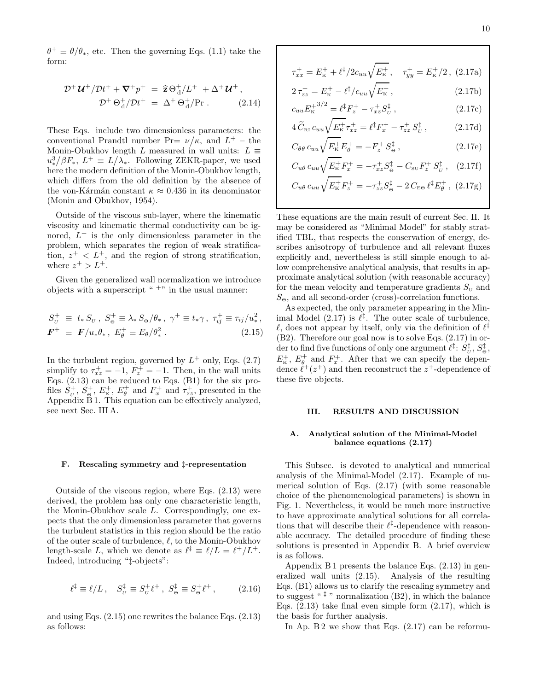$\theta^+ \equiv \theta/\theta_*$ , etc. Then the governing Eqs. (1.1) take the form:

$$
\mathcal{D}^+ \mathcal{U}^+ / \mathcal{D}t^+ + \nabla^+ p^+ = \hat{\mathbf{z}} \Theta_d^+ / L^+ + \Delta^+ \mathcal{U}^+, \n\mathcal{D}^+ \Theta_d^+ / \mathcal{D}t^+ = \Delta^+ \Theta_d^+ / \text{Pr}.
$$
 (2.14)

These Eqs. include two dimensionless parameters: the conventional Prandtl number Pr=  $\nu/\kappa$ , and  $L^+$  – the Monin-Obukhov length L measured in wall units:  $L \equiv$  $u_*^3/\beta F_*$ ,  $L^+ \equiv L/\lambda_*$ . Following ZEKR-paper, we used here the modern definition of the Monin-Obukhov length, which differs from the old definition by the absence of the von-Kármán constant  $\kappa \approx 0.436$  in its denominator (Monin and Obukhov, 1954).

Outside of the viscous sub-layer, where the kinematic viscosity and kinematic thermal conductivity can be ignored,  $L^+$  is the only dimensionless parameter in the problem, which separates the region of weak stratification,  $z^+$  <  $L^+$ , and the region of strong stratification, where  $z^+ > L^+$ .

Given the generalized wall normalization we introduce objects with a superscript "  $^{+ \ast}$  in the usual manner:

$$
S_{\nu}^{+} \equiv t_{*} S_{\nu}, \ S_{\Theta}^{+} \equiv \lambda_{*} S_{\Theta} / \theta_{*}, \ \gamma^{+} \equiv t_{*} \gamma, \ \tau_{ij}^{+} \equiv \tau_{ij} / u_{*}^{2}, \n\mathbf{F}^{+} \equiv \mathbf{F} / u_{*} \theta_{*}, \ E_{\theta}^{+} \equiv E_{\theta} / \theta_{*}^{2} . \tag{2.15}
$$

In the turbulent region, governed by  $L^+$  only, Eqs. (2.7) simplify to  $\tau_{xz}^+ = -1$ ,  $F_z^+ = -1$ . Then, in the wall units Eqs.  $(2.13)$  can be reduced to Eqs.  $(B1)$  for the six profiles  $\hat{S}_{\scriptscriptstyle U}^+$ ,  $\hat{S}_{\scriptscriptstyle \Theta}^+$ ,  $E_{\scriptscriptstyle \mathsf{K}}^+$ ,  $E_{\scriptscriptstyle \theta}^+$  and  $F_x^+$  and  $\tau_{zz}^+$ , presented in the Appendix  $\tilde{B}$  1. This equation can be effectively analyzed, see next Sec. III A.

#### F. Rescaling symmetry and ‡-representation

Outside of the viscous region, where Eqs. (2.13) were derived, the problem has only one characteristic length, the Monin-Obukhov scale L. Correspondingly, one expects that the only dimensionless parameter that governs the turbulent statistics in this region should be the ratio of the outer scale of turbulence,  $\ell$ , to the Monin-Obukhov length-scale L, which we denote as  $\ell^{\ddagger} \equiv \ell/L = \ell^+ / L^+$ . Indeed, introducing "‡-objects":

$$
\ell^{\ddagger} \equiv \ell/L \,, \quad S_{\nu}^{\ddagger} \equiv S_{\nu}^{+} \ell^{+} \,, \ S_{\Theta}^{\ddagger} \equiv S_{\Theta}^{+} \ell^{+} \,, \tag{2.16}
$$

and using Eqs. (2.15) one rewrites the balance Eqs. (2.13) as follows:

$$
\tau_{xx}^+ = E_{\kappa}^+ + \ell^{\ddagger}/2c_{uu}\sqrt{E_{\kappa}^+}, \quad \tau_{yy}^+ = E_{\kappa}^+/2 \,, \tag{2.17a}
$$

$$
2\,\tau_{zz}^+ = E_{\rm K}^+ - \ell^{\ddagger}/c_{uu}\sqrt{E_{\rm K}^+}\,,\tag{2.17b}
$$

$$
c_{uu}E_{\mathbf{k}}^{+3/2} = \ell^{\ddagger}F_{z}^{+} - \tau_{xz}^{+}S_{U}^{\ddagger} , \qquad (2.17c)
$$

$$
4\,\widetilde{C}_{\text{RI}}\,c_{uu}\sqrt{E_{\text{K}}^{+}}\,\tau_{xz}^{+} = \ell^{\ddagger}F_{x}^{+} - \tau_{zz}^{+}\,S_{U}^{\ddagger}\,,\tag{2.17d}
$$

$$
C_{\theta\theta} c_{uu} \sqrt{E_{\rm K}^{+}} E_{\theta}^{+} = -F_{z}^{+} S_{\Theta}^{\ddagger} , \qquad (2.17e)
$$

$$
C_{u\theta} c_{uu} \sqrt{E_{\mathbf{k}}^+} F_x^+ = -\tau_{xz}^+ S_{\Theta}^{\ddagger} - C_{\text{SU}} F_z^+ S_{\text{U}}^{\ddagger} , \quad (2.17f)
$$

$$
C_{u\theta} c_{uu} \sqrt{E_{\rm K}^+} F_z^+ = -\tau_{zz}^+ S_{\Theta}^{\ddagger} - 2 C_{\rm E\Theta} \ell^{\ddagger} E_{\theta}^+ , (2.17g)
$$

These equations are the main result of current Sec. II. It may be considered as "Minimal Model" for stably stratified TBL, that respects the conservation of energy, describes anisotropy of turbulence and all relevant fluxes explicitly and, nevertheless is still simple enough to allow comprehensive analytical analysis, that results in approximate analytical solution (with reasonable accuracy) for the mean velocity and temperature gradients  $S_{\text{U}}$  and  $S_{\Theta}$ , and all second-order (cross)-correlation functions.

As expected, the only parameter appearing in the Minimal Model  $(2.17)$  is  $\ell^{\ddagger}$ . The outer scale of turbulence,  $\ell$ , does not appear by itself, only via the definition of  $\ell^{\ddagger}$ (B2). Therefore our goal now is to solve Eqs. (2.17) in order to find five functions of only one argument  $\ell^{\ddagger}$ :  $S^{\ddagger}_{\scriptscriptstyle U}$  ,  $S^{\ddagger}_{\scriptscriptstyle \Theta}$  ,  $E_{\kappa}^{+}$ ,  $E_{\theta}^{+}$  and  $F_{x}^{+}$ . After that we can specify the dependence  $\ell^+(z^+)$  and then reconstruct the  $z^+$ -dependence of these five objects.

## III. RESULTS AND DISCUSSION

# A. Analytical solution of the Minimal-Model balance equations (2.17)

This Subsec. is devoted to analytical and numerical analysis of the Minimal-Model (2.17). Example of numerical solution of Eqs. (2.17) (with some reasonable choice of the phenomenological parameters) is shown in Fig. 1. Nevertheless, it would be much more instructive to have approximate analytical solutions for all correlations that will describe their  $\ell^{\ddagger}$ -dependence with reasonable accuracy. The detailed procedure of finding these solutions is presented in Appendix B. A brief overview is as follows.

Appendix  $B1$  presents the balance Eqs.  $(2.13)$  in generalized wall units (2.15). Analysis of the resulting Eqs. (B1) allows us to clarify the rescaling symmetry and to suggest "<sup> $\ddagger$ </sup>" normalization (B2), in which the balance Eqs.  $(2.13)$  take final even simple form  $(2.17)$ , which is the basis for further analysis.

In Ap. B 2 we show that Eqs.  $(2.17)$  can be reformu-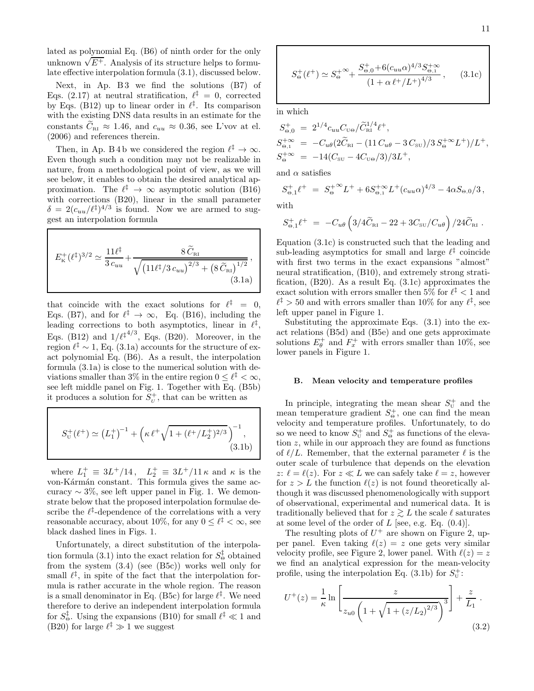lated as polynomial Eq. (B6) of ninth order for the only unknown  $\sqrt{E^+}$ . Analysis of its structure helps to formulate effective interpolation formula (3.1), discussed below.

Next, in Ap.  $B3$  we find the solutions  $(B7)$  of Eqs. (2.17) at neutral stratification,  $\ell^{\ddagger} = 0$ , corrected by Eqs. (B12) up to linear order in  $\ell^{\ddagger}$ . Its comparison with the existing DNS data results in an estimate for the constants  $\tilde{C}_{\text{RI}} \approx 1.46$ , and  $c_{uu} \approx 0.36$ , see L'vov at el. (2006) and references therein.

Then, in Ap. B 4 b we considered the region  $\ell^{\ddagger} \to \infty$ . Even though such a condition may not be realizable in nature, from a methodological point of view, as we will see below, it enables to obtain the desired analytical approximation. The  $\ell^{\ddagger} \to \infty$  asymptotic solution (B16) with corrections (B20), linear in the small parameter  $\delta = 2(c_{uu}/\ell^{\ddagger})^{4/3}$  is found. Now we are armed to suggest an interpolation formula

$$
E_{\kappa}^{+}(\ell^{\dagger})^{3/2} \simeq \frac{11\ell^{\dagger}}{3c_{uu}} + \frac{8\,\tilde{C}_{\textsc{ri}}}{\sqrt{\left(11\ell^{\dagger}/3\,c_{uu}\right)^{2/3}+\left(8\,\tilde{C}_{\textsc{ri}}\right)^{1/2}}}\,,\tag{3.1a}
$$

that coincide with the exact solutions for  $\ell^{\ddagger} = 0$ , Eqs. (B7), and for  $\ell^{\ddagger} \to \infty$ , Eq. (B16), including the leading corrections to both asymptotics, linear in  $\ell^{\ddagger}$ , Eqs. (B12) and  $1/\ell^{\ddagger^{4/3}}$ , Eqs. (B20). Moreover, in the region  $\ell^{\ddagger} \sim 1$ , Eq. (3.1a) accounts for the structure of exact polynomial Eq. (B6). As a result, the interpolation formula (3.1a) is close to the numerical solution with deviations smaller than  $3\%$  in the entire region  $0 \leq \ell^{\ddagger} < \infty$ , see left middle panel on Fig. 1. Together with Eq. (B5b) it produces a solution for  $S_{\nu}^{+}$ , that can be written as

$$
S_{\scriptscriptstyle\rm U}^+(\ell^+) \simeq \left(L_1^+\right)^{-1} + \left(\kappa \,\ell^+ \sqrt{1 + (\ell^+ / L_2^+)^{2/3}}\,\right)^{-1},\tag{3.1b}
$$

where  $L_1^+ \equiv 3L^+/14$ ,  $L_2^+ \equiv 3L^+/11 \kappa$  and  $\kappa$  is the von-Kármán constant. This formula gives the same accuracy  $\sim 3\%$ , see left upper panel in Fig. 1. We demonstrate below that the proposed interpolation formulae describe the  $\ell^{\ddagger}$ -dependence of the correlations with a very reasonable accuracy, about 10%, for any  $0 \leq \ell^{\ddagger} < \infty$ , see black dashed lines in Figs. 1.

Unfortunately, a direct substitution of the interpolation formula (3.1) into the exact relation for  $S^{\ddagger}_{\Theta}$  obtained from the system (3.4) (see (B5c)) works well only for small  $\ell^{\ddagger}$ , in spite of the fact that the interpolation formula is rather accurate in the whole region. The reason is a small denominator in Eq. (B5c) for large  $\ell^{\ddagger}$ . We need therefore to derive an independent interpolation formula for  $S^{\ddagger}_{\Theta}$ . Using the expansions (B10) for small  $\ell^{\ddagger} \ll 1$  and (B20) for large  $\ell^{\ddagger} \gg 1$  we suggest

$$
S_{\Theta}^{+}(\ell^{+}) \simeq S_{\Theta}^{+ \infty} + \frac{S_{\Theta,0}^{+} + 6(c_{uu}\alpha)^{4/3} S_{\Theta,1}^{+ \infty}}{\left(1 + \alpha \ell^{+} / L^{+}\right)^{4/3}},\qquad(3.1c)
$$

in which

$$
S_{\Theta,0}^{+} = 2^{1/4} c_{uu} C_{\text{U}\Theta} / \tilde{C}_{\text{RI}}^{1/4} \ell^{+},
$$
  
\n
$$
S_{\Theta,1}^{+\infty} = -C_{u\theta} (2\tilde{C}_{\text{RI}} - (11 C_{u\theta} - 3 C_{\text{SU}}) / 3 S_{\Theta}^{+\infty} L^{+}) / L^{+},
$$
  
\n
$$
S_{\Theta}^{+\infty} = -14 (C_{\text{SU}} - 4 C_{\text{U}\Theta} / 3) / 3 L^{+},
$$

and  $\alpha$  satisfies

$$
S_{\Theta,1}^+ \ell^+ = S_{\Theta}^{+\infty} L^+ + 6S_{\Theta,1}^{+\infty} L^+ (c_{uu}\alpha)^{4/3} - 4\alpha S_{\Theta,0}/3,
$$

with

$$
S_{\Theta,1}^+ \ell^+ \ = \ -C_{u\theta} \left( 3/4 \widetilde{C}_{\textsc{ri}} - 22 + 3 C_{\textsc{su}} / C_{u\theta} \right) / 24 \widetilde{C}_{\textsc{ri}} \ .
$$

Equation (3.1c) is constructed such that the leading and sub-leading asymptotics for small and large  $\ell^{\ddagger}$  coincide with first two terms in the exact expansions "almost" neural stratification, (B10), and extremely strong stratification, (B20). As a result Eq. (3.1c) approximates the exact solution with errors smaller then  $5\%$  for  $\ell^{\ddagger} < 1$  and  $\ell^{\ddagger} > 50$  and with errors smaller than 10% for any  $\ell^{\ddagger}$ , see left upper panel in Figure 1.

Substituting the approximate Eqs. (3.1) into the exact relations (B5d) and (B5e) and one gets approximate solutions  $E_{\theta}^{+}$  and  $F_{x}^{+}$  with errors smaller than 10%, see lower panels in Figure 1.

#### B. Mean velocity and temperature profiles

In principle, integrating the mean shear  $S_{\scriptscriptstyle\rm U}^+$  and the mean temperature gradient  $S_{\Theta}^{+}$ , one can find the mean velocity and temperature profiles. Unfortunately, to do so we need to know  $S_{\scriptscriptstyle\rm U}^+$  and  $S_{\scriptscriptstyle\Theta}^+$  as functions of the elevation z, while in our approach they are found as functions of  $\ell/L$ . Remember, that the external parameter  $\ell$  is the outer scale of turbulence that depends on the elevation z:  $\ell = \ell(z)$ . For  $z \ll L$  we can safely take  $\ell = z$ , however for  $z > L$  the function  $\ell(z)$  is not found theoretically although it was discussed phenomenologically with support of observational, experimental and numerical data. It is traditionally believed that for  $z \gtrsim L$  the scale  $\ell$  saturates at some level of the order of  $L$  [see, e.g. Eq.  $(0.4)$ ].

The resulting plots of  $U^+$  are shown on Figure 2, upper panel. Even taking  $\ell(z) = z$  one gets very similar velocity profile, see Figure 2, lower panel. With  $\ell(z) = z$ we find an analytical expression for the mean-velocity profile, using the interpolation Eq. (3.1b) for  $S_{\scriptscriptstyle\rm U}^+$ :

$$
U^{+}(z) = \frac{1}{\kappa} \ln \left[ \frac{z}{z_{u0} \left( 1 + \sqrt{1 + (z/L_2)^{2/3}} \right)^3} \right] + \frac{z}{L_1} .
$$
\n(3.2)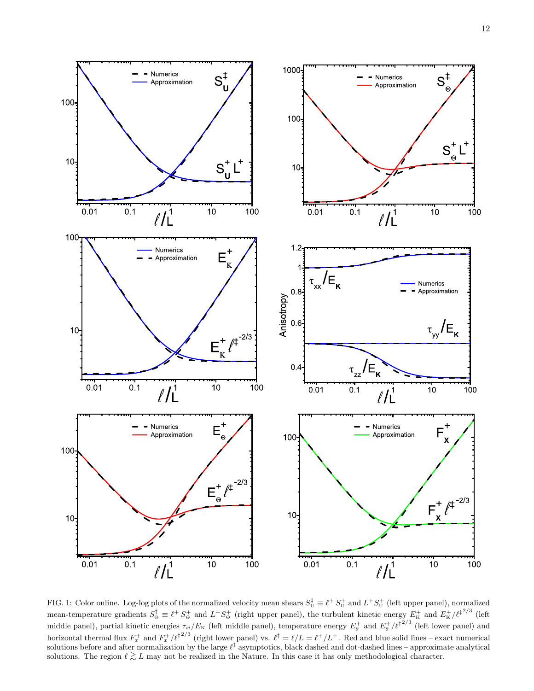

FIG. 1: Color online. Log-log plots of the normalized velocity mean shears  $S_U^{\ddagger} \equiv \ell^+ S_U^+$  and  $L^+ S_U^+$  (left upper panel), normalized mean-temperature gradients  $S^{\ddagger}_{\Theta} \equiv \ell^+ S^+_{\Theta}$  and  $L^+ S^+_{\Theta}$  (right upper panel), the turbulent kinetic energy  $E^+_{\rm K}$  and  $E^+_{\rm K}/\ell^{\ddagger 2/3}$  (left middle panel), partial kinetic energies  $\tau_{ii}/E_K$  (left middle panel), temperature energy  $E_\theta^+$  and  $E_\theta^+/\ell^{1/2/3}$  (left lower panel) and horizontal thermal flux  $F_x^+$  and  $F_x^+/\ell^{\frac{1}{2}/3}$  (right lower panel) vs.  $\ell^{\ddagger} = \ell/L = \ell^+/L^+$ . Red and blue solid lines – exact numerical solutions before and after normalization by the large  $\ell^{\ddagger}$  asymptotics, black dashed and dot-dashed lines – approximate analytical solutions. The region  $\ell \gtrsim L$  may not be realized in the Nature. In this case it has only methodological character.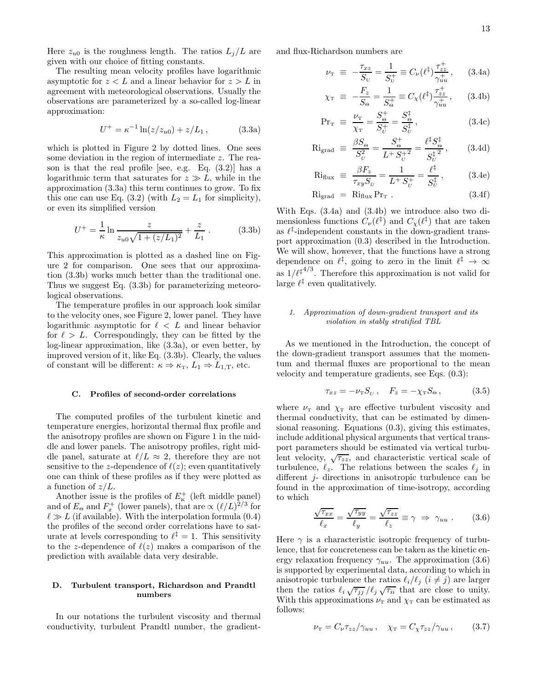Here  $z_{u0}$  is the roughness length. The ratios  $L_j/L$  are given with our choice of fitting constants.

The resulting mean velocity profiles have logarithmic asymptotic for  $z < L$  and a linear behavior for  $z > L$  in agreement with meteorological observations. Usually the observations are parameterized by a so-called log-linear approximation:

$$
U^{+} = \kappa^{-1} \ln(z/z_{u0}) + z/L_1, \qquad (3.3a)
$$

which is plotted in Figure 2 by dotted lines. One sees some deviation in the region of intermediate z. The reason is that the real profile [see, e.g. Eq.  $(3.2)$ ] has a logarithmic term that saturates for  $z \gg L$ , while in the approximation (3.3a) this term continues to grow. To fix this one can use Eq. (3.2) (with  $L_2 = L_1$  for simplicity), or even its simplified version

$$
U^{+} = \frac{1}{\kappa} \ln \frac{z}{z_{u0}\sqrt{1 + (z/L_1)^2}} + \frac{z}{L_1}.
$$
 (3.3b)

This approximation is plotted as a dashed line on Figure 2 for comparison. One sees that our approximation (3.3b) works much better than the traditional one. Thus we suggest Eq. (3.3b) for parameterizing meteorological observations.

The temperature profiles in our approach look similar to the velocity ones, see Figure 2, lower panel. They have logarithmic asymptotic for  $\ell < L$  and linear behavior for  $\ell > L$ . Correspondingly, they can be fitted by the log-linear approximation, like (3.3a), or even better, by improved version of it, like Eq. (3.3b). Clearly, the values of constant will be different:  $\kappa \Rightarrow \kappa_{\rm T}$ ,  $L_1 \Rightarrow L_{1,\rm T}$ , etc.

#### C. Profiles of second-order correlations

The computed profiles of the turbulent kinetic and temperature energies, horizontal thermal flux profile and the anisotropy profiles are shown on Figure 1 in the middle and lower panels. The anisotropy profiles, right middle panel, saturate at  $\ell/L \approx 2$ , therefore they are not sensitive to the z-dependence of  $\ell(z)$ ; even quantitatively one can think of these profiles as if they were plotted as a function of  $z/L$ .

Another issue is the profiles of  $E_{\kappa}^{+}$  (left middle panel) and of  $E_{\Theta}$  and  $F_x^+$  (lower panels), that are  $\propto (\ell/L)^{2/3}$  for  $\ell \gg L$  (if available). With the interpolation formula (0.4) the profiles of the second order correlations have to saturate at levels corresponding to  $\ell^{\ddagger} = 1$ . This sensitivity to the z-dependence of  $\ell(z)$  makes a comparison of the prediction with available data very desirable.

# D. Turbulent transport, Richardson and Prandtl numbers

In our notations the turbulent viscosity and thermal conductivity, turbulent Prandtl number, the gradientand flux-Richardson numbers are

$$
\nu_{\rm T} \equiv -\frac{\tau_{xz}}{S_{\rm U}} = \frac{1}{S_{\rm U}^+} \equiv C_{\nu}(\ell^{\ddagger}) \frac{\tau_{zz}^+}{\gamma_{uu}^+}, \qquad (3.4a)
$$

$$
\chi_{\rm T} \equiv -\frac{F_z}{S_{\Theta}} = \frac{1}{S_{\Theta}^+} \equiv C_{\chi}(\ell^{\ddagger}) \frac{\tau_{zz}^+}{\gamma_{uu}^+}, \qquad (3.4b)
$$

$$
Pr_{\rm T} \equiv \frac{\nu_{\rm T}}{\chi_{\rm T}} = \frac{S_{\rm e}^{+}}{S_{\rm U}^{+}} = \frac{S_{\rm e}^{+}}{S_{\rm U}^{+}}, \tag{3.4c}
$$

$$
\text{Ri}_{\text{grad}} \equiv \frac{\beta S_{\Theta}}{S_{U}^{2}} = \frac{S_{\Theta}^{+}}{L^{+} S_{U}^{+2}} = \frac{\ell^{t} S_{\Theta}^{t}}{S_{U}^{t}} , \quad (3.4d)
$$

$$
\text{Ri}_{\text{flux}} \equiv \frac{\beta F_z}{\tau_{xy} S_U} = \frac{1}{L^+ S_U^+} = \frac{\ell^{\ddagger}}{S_U^{\ddagger}}, \quad (3.4e)
$$

$$
\text{Ri}_{\text{grad}} = \text{Ri}_{\text{flux}} \text{Pr}_{\text{T}} . \tag{3.4f}
$$

With Eqs. (3.4a) and (3.4b) we introduce also two dimensionless functions  $C_{\nu}(\ell^{\ddagger})$  and  $C_{\chi}(\ell^{\ddagger})$  that are taken as  $\ell^{\ddagger}$ -independent constants in the down-gradient transport approximation (0.3) described in the Introduction. We will show, however, that the functions have a strong dependence on  $\ell^{\ddagger}$ , going to zero in the limit  $\ell^{\ddagger} \to \infty$ as  $1/\ell^{4/3}$ . Therefore this approximation is not valid for large  $\ell^{\ddagger}$  even qualitatively.

# 1. Approximation of down-gradient transport and its violation in stably stratified TBL

As we mentioned in the Introduction, the concept of the down-gradient transport assumes that the momentum and thermal fluxes are proportional to the mean velocity and temperature gradients, see Eqs. (0.3):

$$
\tau_{xz} = -\nu_{\rm T} S_{\scriptscriptstyle U} \;, \quad F_z = -\chi_{\rm T} S_{\scriptscriptstyle \Theta} \;, \tag{3.5}
$$

where  $\nu$ <sub>T</sub> and  $\chi$ <sub>T</sub> are effective turbulent viscosity and thermal conductivity, that can be estimated by dimensional reasoning. Equations (0.3), giving this estimates, include additional physical arguments that vertical transport parameters should be estimated via vertical turbulent velocity,  $\sqrt{\tau_{zz}}$ , and characteristic vertical scale of turbulence,  $\ell_z$ . The relations between the scales  $\ell_j$  in different *j*- directions in anisotropic turbulence can be found in the approximation of time-isotropy, according to which

$$
\frac{\sqrt{\tau_{xx}}}{\ell_x} = \frac{\sqrt{\tau_{yy}}}{\ell_y} = \frac{\sqrt{\tau_{zz}}}{\ell_z} \equiv \gamma \implies \gamma_{uu} . \quad (3.6)
$$

Here  $\gamma$  is a characteristic isotropic frequency of turbulence, that for concreteness can be taken as the kinetic energy relaxation frequency  $\gamma_{uu}$ . The approximation (3.6) is supported by experimental data, according to which in anisotropic turbulence the ratios  $\ell_i/\ell_j$   $(i \neq j)$  are larger then the ratios  $\ell_i \sqrt{\tau_{jj}}$  / $\ell_j \sqrt{\tau_{ii}}$  that are close to unity. With this approximations  $\nu$ <sub>T</sub> and  $\chi$ <sub>T</sub> can be estimated as follows:

$$
\nu_{\rm T} = C_{\nu} \tau_{zz} / \gamma_{uu} , \quad \chi_{\rm T} = C_{\chi} \tau_{zz} / \gamma_{uu} , \qquad (3.7)
$$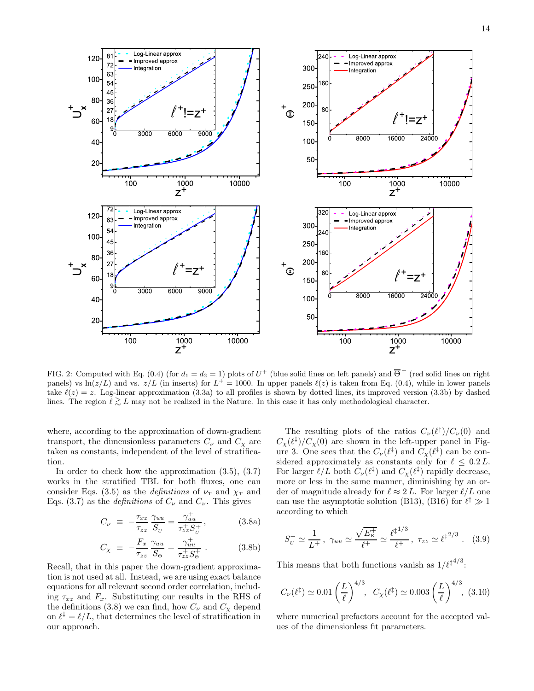

FIG. 2: Computed with Eq. (0.4) (for  $d_1 = d_2 = 1$ ) plots of  $U^+$  (blue solid lines on left panels) and  $\overline{\Theta}^+$  (red solid lines on right panels) vs ln( $z/L$ ) and vs.  $z/L$  (in inserts) for  $L^+ = 1000$ . In upper panels  $\ell(z)$  is taken from Eq. (0.4), while in lower panels take  $\ell(z) = z$ . Log-linear approximation (3.3a) to all profiles is shown by dotted lines, its improved version (3.3b) by dashed lines. The region  $\ell \gtrsim L$  may not be realized in the Nature. In this case it has only methodological character.

where, according to the approximation of down-gradient transport, the dimensionless parameters  $C_{\nu}$  and  $C_{\chi}$  are taken as constants, independent of the level of stratification.

In order to check how the approximation (3.5), (3.7) works in the stratified TBL for both fluxes, one can consider Eqs. (3.5) as the *definitions* of  $\nu$ <sub>T</sub> and  $\chi$ <sub>T</sub> and Eqs. (3.7) as the *definitions* of  $C_{\nu}$  and  $C_{\nu}$ . This gives

$$
C_{\nu} \equiv -\frac{\tau_{xz}}{\tau_{zz}} \frac{\gamma_{uu}}{S_U} = \frac{\gamma_{uu}^+}{\tau_{zz}^+ S_U^+}, \qquad (3.8a)
$$

$$
C_{\chi} \equiv -\frac{F_x}{\tau_{zz}} \frac{\gamma_{uu}}{S_{\Theta}} = \frac{\gamma_{uu}^+}{\tau_{zz}^+ S_{\Theta}^+} . \tag{3.8b}
$$

Recall, that in this paper the down-gradient approximation is not used at all. Instead, we are using exact balance equations for all relevant second order correlation, including  $\tau_{xz}$  and  $F_x$ . Substituting our results in the RHS of the definitions (3.8) we can find, how  $C_{\nu}$  and  $C_{\chi}$  depend on  $\ell^{\ddagger} = \ell/L$ , that determines the level of stratification in our approach.

The resulting plots of the ratios  $C_{\nu}(\ell^{\ddagger})/C_{\nu}(0)$  and  $C_{\chi}(\ell^{\ddagger})/C_{\chi}(0)$  are shown in the left-upper panel in Figure 3. One sees that the  $C_{\nu}(\ell^{\ddagger})$  and  $C_{\chi}(\ell^{\ddagger})$  can be considered approximately as constants only for  $\ell \leq 0.2 L$ . For larger  $\ell/L$  both  $C_{\nu}(\ell^{\ddagger})$  and  $C_{\chi}(\ell^{\ddagger})$  rapidly decrease, more or less in the same manner, diminishing by an order of magnitude already for  $\ell \approx 2 L$ . For larger  $\ell/L$  one can use the asymptotic solution (B13), (B16) for  $\ell^{\ddagger} \gg 1$ according to which

$$
S_U^+ \simeq \frac{1}{L^+}
$$
,  $\gamma_{uu} \simeq \frac{\sqrt{E_K^+}}{\ell^+} \simeq \frac{\ell^{\ddagger^{1/3}}}{\ell^+}$ ,  $\tau_{zz} \simeq \ell^{\ddagger^{2/3}}$ . (3.9)

This means that both functions vanish as  $1/\ell^{\ddagger^{4/3}}$ :

$$
C_{\nu}(\ell^{\ddagger}) \simeq 0.01 \left(\frac{L}{\ell}\right)^{4/3}, \quad C_{\chi}(\ell^{\ddagger}) \simeq 0.003 \left(\frac{L}{\ell}\right)^{4/3}, \tag{3.10}
$$

where numerical prefactors account for the accepted values of the dimensionless fit parameters.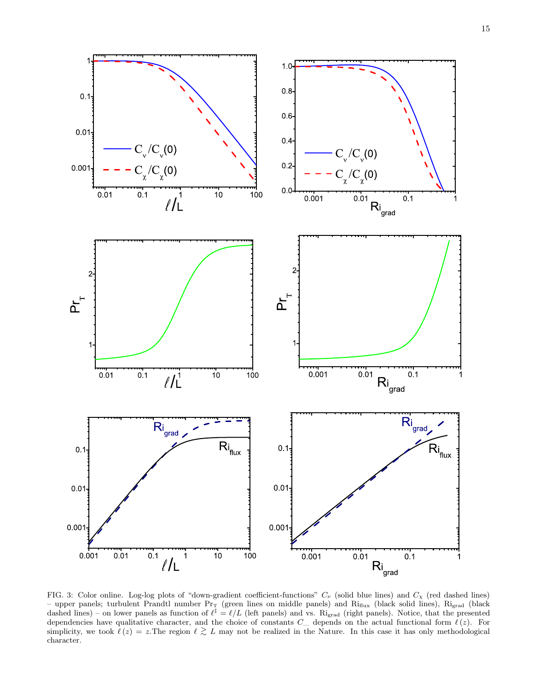

FIG. 3: Color online. Log-log plots of "down-gradient coefficient-functions"  $C_{\nu}$  (solid blue lines) and  $C_{\chi}$  (red dashed lines) – upper panels; turbulent Prandtl number  $Pr_T$  (green lines on middle panels) and  $Ri_{flux}$  (black solid lines),  $Ri_{grad}$  (black dashed lines) – on lower panels as function of  $\ell^{\ddagger} = \ell/L$  (left panels) and vs. Ri<sub>grad</sub> (right panels). Notice, that the presented dependencies have qualitative character, and the choice of constants  $C_{...}$  depends on the actual functional form  $\ell(z)$ . For simplicity, we took  $\ell(z) = z$ . The region  $\ell \gtrsim L$  may not be realized in the Nature. In this case it has only methodological character.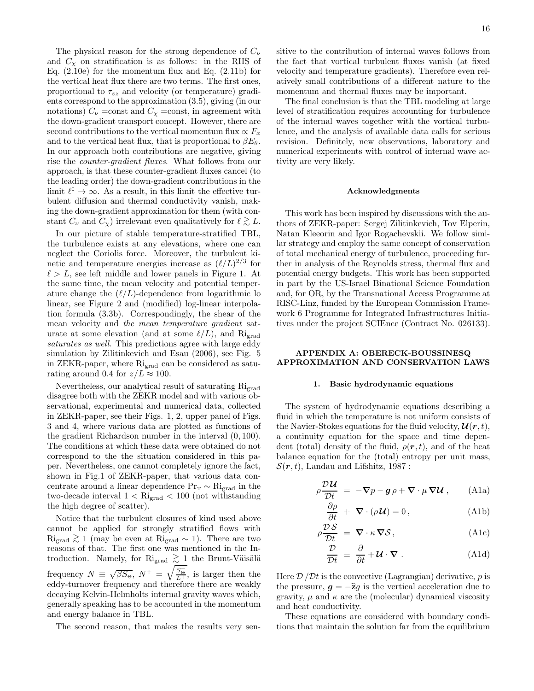The physical reason for the strong dependence of  $C_{\nu}$ and  $C_{\chi}$  on stratification is as follows: in the RHS of Eq. (2.10e) for the momentum flux and Eq. (2.11b) for the vertical heat flux there are two terms. The first ones, proportional to  $\tau_{zz}$  and velocity (or temperature) gradients correspond to the approximation (3.5), giving (in our notations)  $C_{\nu}$  =const and  $C_{\chi}$  =const, in agreement with the down-gradient transport concept. However, there are second contributions to the vertical momentum flux  $\propto F_x$ and to the vertical heat flux, that is proportional to  $\beta E_{\theta}$ . In our approach both contributions are negative, giving rise the counter-gradient fluxes. What follows from our approach, is that these counter-gradient fluxes cancel (to the leading order) the down-gradient contributions in the limit  $\ell^{\ddagger} \to \infty$ . As a result, in this limit the effective turbulent diffusion and thermal conductivity vanish, making the down-gradient approximation for them (with constant  $C_{\nu}$  and  $C_{\chi}$ ) irrelevant even qualitatively for  $\ell \gtrsim L$ .

In our picture of stable temperature-stratified TBL, the turbulence exists at any elevations, where one can neglect the Coriolis force. Moreover, the turbulent kinetic and temperature energies increase as  $(\ell/L)^{2/3}$  for  $\ell > L$ , see left middle and lower panels in Figure 1. At the same time, the mean velocity and potential temperature change the  $(\ell/L)$ -dependence from logarithmic lo linear, see Figure 2 and (modified) log-linear interpolation formula (3.3b). Correspondingly, the shear of the mean velocity and the mean temperature gradient saturate at some elevation (and at some  $\ell/L$ ), and Rigrad saturates as well. This predictions agree with large eddy simulation by Zilitinkevich and Esau (2006), see Fig. 5 in ZEKR-paper, where Rigrad can be considered as saturating around 0.4 for  $z/L \approx 100$ .

Nevertheless, our analytical result of saturating  $\mathrm{Ri}_{\text{grad}}$ disagree both with the ZEKR model and with various observational, experimental and numerical data, collected in ZEKR-paper, see their Figs. 1, 2, upper panel of Figs. 3 and 4, where various data are plotted as functions of the gradient Richardson number in the interval (0, 100). The conditions at which these data were obtained do not correspond to the the situation considered in this paper. Nevertheless, one cannot completely ignore the fact, shown in Fig.1 of ZEKR-paper, that various data concentrate around a linear dependence  $Pr_T \sim Ri_{grad}$  in the two-decade interval  $1 <$   $\mathrm{Ri}_{\mathrm{grad}}$   $< 100$  (not withstanding the high degree of scatter).

Notice that the turbulent closures of kind used above cannot be applied for strongly stratified flows with  $\mathrm{Ri}_{\text{grad}}$   $\gtrsim$  1 (may be even at  $\mathrm{Ri}_{\text{grad}}$  ~ 1). There are two reasons of that. The first one was mentioned in the Introduction. Namely, for Ri<sub>grad</sub>  $\gtrsim$  1 the Brunt-Väisälä frequency  $N \equiv \sqrt{\beta S_{\Theta}}, N^+ = \sqrt{\frac{S_{\Theta}^+}{L^+}},$  is larger then the eddy-turnover frequency and therefore there are weakly decaying Kelvin-Helmholts internal gravity waves which, generally speaking has to be accounted in the momentum and energy balance in TBL.

The second reason, that makes the results very sen-

sitive to the contribution of internal waves follows from the fact that vortical turbulent fluxes vanish (at fixed velocity and temperature gradients). Therefore even relatively small contributions of a different nature to the momentum and thermal fluxes may be important.

The final conclusion is that the TBL modeling at large level of stratification requires accounting for turbulence of the internal waves together with the vortical turbulence, and the analysis of available data calls for serious revision. Definitely, new observations, laboratory and numerical experiments with control of internal wave activity are very likely.

## Acknowledgments

This work has been inspired by discussions with the authors of ZEKR-paper: Sergej Zilitinkevich, Tov Elperin, Natan Kleeorin and Igor Rogachevskii. We follow similar strategy and employ the same concept of conservation of total mechanical energy of turbulence, proceeding further in analysis of the Reynolds stress, thermal flux and potential energy budgets. This work has been supported in part by the US-Israel Binational Science Foundation and, for OR, by the Transnational Access Programme at RISC-Linz, funded by the European Commission Framework 6 Programme for Integrated Infrastructures Initiatives under the project SCIEnce (Contract No. 026133).

# APPENDIX A: OBERECK-BOUSSINESQ APPROXIMATION AND CONSERVATION LAWS

### 1. Basic hydrodynamic equations

The system of hydrodynamic equations describing a fluid in which the temperature is not uniform consists of the Navier-Stokes equations for the fluid velocity,  $\mathcal{U}(r, t)$ , a continuity equation for the space and time dependent (total) density of the fluid,  $\rho(\mathbf{r},t)$ , and of the heat balance equation for the (total) entropy per unit mass,  $\mathcal{S}(\mathbf{r}, t)$ , Landau and Lifshitz, 1987 :

$$
\rho \frac{\mathcal{D} \mathcal{U}}{\mathcal{D} t} = -\nabla p - \boldsymbol{g} \rho + \nabla \cdot \mu \, \nabla \mathcal{U} \,, \qquad \text{(A1a)}
$$

$$
\frac{\partial \rho}{\partial t} + \nabla \cdot (\rho \mathcal{U}) = 0, \qquad (A1b)
$$

$$
\rho \frac{\mathcal{D} \mathcal{S}}{\mathcal{D} t} = \nabla \cdot \kappa \nabla \mathcal{S},\tag{A1c}
$$

$$
\frac{\mathcal{D}}{\mathcal{D}t} \equiv \frac{\partial}{\partial t} + \mathcal{U} \cdot \nabla \ . \tag{A1d}
$$

Here  $\mathcal{D}/\mathcal{D}t$  is the convective (Lagrangian) derivative, p is the pressure,  $g = -\hat{z}q$  is the vertical acceleration due to gravity,  $\mu$  and  $\kappa$  are the (molecular) dynamical viscosity and heat conductivity.

These equations are considered with boundary conditions that maintain the solution far from the equilibrium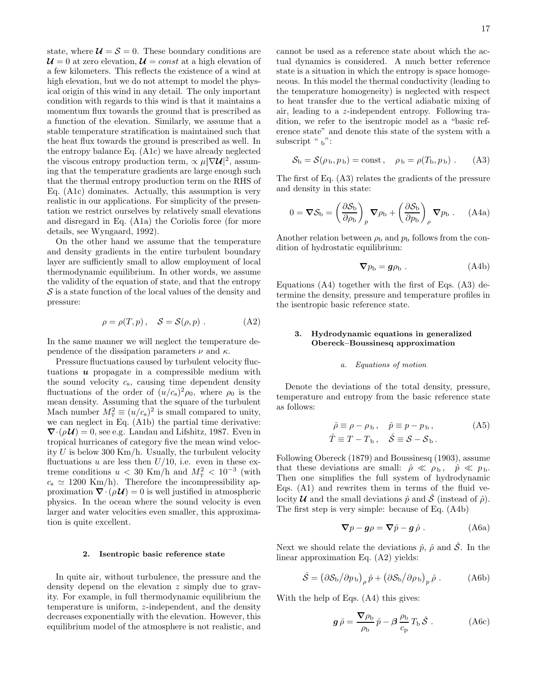state, where  $\mathcal{U} = \mathcal{S} = 0$ . These boundary conditions are  $\mathcal{U}=0$  at zero elevation,  $\mathcal{U}=const$  at a high elevation of a few kilometers. This reflects the existence of a wind at high elevation, but we do not attempt to model the physical origin of this wind in any detail. The only important condition with regards to this wind is that it maintains a momentum flux towards the ground that is prescribed as a function of the elevation. Similarly, we assume that a stable temperature stratification is maintained such that the heat flux towards the ground is prescribed as well. In the entropy balance Eq. (A1c) we have already neglected the viscous entropy production term,  $\propto \mu |\nabla \mathcal{U}|^2$ , assuming that the temperature gradients are large enough such that the thermal entropy production term on the RHS of Eq. (A1c) dominates. Actually, this assumption is very realistic in our applications. For simplicity of the presentation we restrict ourselves by relatively small elevations and disregard in Eq. (A1a) the Coriolis force (for more details, see Wyngaard, 1992).

On the other hand we assume that the temperature and density gradients in the entire turbulent boundary layer are sufficiently small to allow employment of local thermodynamic equilibrium. In other words, we assume the validity of the equation of state, and that the entropy  $S$  is a state function of the local values of the density and pressure:

$$
\rho = \rho(T, p), \quad S = \mathcal{S}(\rho, p). \tag{A2}
$$

In the same manner we will neglect the temperature dependence of the dissipation parameters  $\nu$  and  $\kappa$ .

Pressure fluctuations caused by turbulent velocity fluctuations  $\boldsymbol{u}$  propagate in a compressible medium with the sound velocity  $c_s$ , causing time dependent density fluctuations of the order of  $(u/c_s)^2 \rho_0$ , where  $\rho_0$  is the mean density. Assuming that the square of the turbulent Mach number  $M_{\rm T}^2 \equiv (u/c_{\rm s})^2$  is small compared to unity, we can neglect in Eq. (A1b) the partial time derivative:  $\nabla \cdot (\rho \mathcal{U}) = 0$ , see e.g. Landau and Lifshitz, 1987. Even in tropical hurricanes of category five the mean wind velocity  $U$  is below 300 Km/h. Usually, the turbulent velocity fluctuations u are less then  $U/10$ , i.e. even in these extreme conditions  $u < 30$  Km/h and  $M_{\rm T}^2 < 10^{-3}$  (with  $c_s \simeq 1200 \text{ Km/h}$ . Therefore the incompressibility approximation  $\nabla \cdot (\rho \mathcal{U}) = 0$  is well justified in atmospheric physics. In the ocean where the sound velocity is even larger and water velocities even smaller, this approximation is quite excellent.

#### 2. Isentropic basic reference state

In quite air, without turbulence, the pressure and the density depend on the elevation z simply due to gravity. For example, in full thermodynamic equilibrium the temperature is uniform, z-independent, and the density decreases exponentially with the elevation. However, this equilibrium model of the atmosphere is not realistic, and cannot be used as a reference state about which the actual dynamics is considered. A much better reference state is a situation in which the entropy is space homogeneous. In this model the thermal conductivity (leading to the temperature homogeneity) is neglected with respect to heat transfer due to the vertical adiabatic mixing of air, leading to a z-independent entropy. Following tradition, we refer to the isentropic model as a "basic reference state" and denote this state of the system with a subscript " $\frac{1}{b}$ ":

$$
S_{\rm b} = S(\rho_{\rm b}, p_{\rm b}) = \text{const}, \quad \rho_{\rm b} = \rho(T_{\rm b}, p_{\rm b}). \tag{A3}
$$

The first of Eq. (A3) relates the gradients of the pressure and density in this state:

$$
0 = \nabla S_{\rm b} = \left(\frac{\partial S_{\rm b}}{\partial \rho_{\rm b}}\right)_p \nabla \rho_{\rm b} + \left(\frac{\partial S_{\rm b}}{\partial p_{\rm b}}\right)_\rho \nabla p_{\rm b} . \quad \text{(A4a)}
$$

Another relation between  $\rho_{\rm b}$  and  $p_{\rm b}$  follows from the condition of hydrostatic equilibrium:

$$
\nabla p_{\rm b} = \mathbf{g} \rho_{\rm b} \ . \tag{A4b}
$$

Equations (A4) together with the first of Eqs. (A3) determine the density, pressure and temperature profiles in the isentropic basic reference state.

# 3. Hydrodynamic equations in generalized Obereck–Boussinesq approximation

### a. Equations of motion

Denote the deviations of the total density, pressure, temperature and entropy from the basic reference state as follows:

$$
\hat{\rho} \equiv \rho - \rho_{\rm b}, \quad \hat{p} \equiv p - p_{\rm b}, \quad (A5)
$$
  

$$
\hat{T} \equiv T - T_{\rm b}, \quad \hat{S} \equiv S - S_{\rm b}.
$$

Following Obereck (1879) and Boussinesq (1903), assume that these deviations are small:  $\hat{\rho} \ll \rho_{\rm b}$ ,  $\hat{p} \ll p_{\rm b}$ . Then one simplifies the full system of hydrodynamic Eqs. (A1) and rewrites them in terms of the fluid velocity  $\mathcal U$  and the small deviations  $\hat p$  and  $\hat S$  (instead of  $\hat \rho$ ). The first step is very simple: because of Eq. (A4b)

$$
\nabla p - \boldsymbol{g} \rho = \nabla \hat{p} - \boldsymbol{g} \hat{\rho} . \qquad (A6a)
$$

Next we should relate the deviations  $\hat{p}$ ,  $\hat{\rho}$  and  $\hat{\mathcal{S}}$ . In the linear approximation Eq. (A2) yields:

$$
\hat{S} = (\partial S_{\rm b} / \partial p_{\rm b})_{\rho} \hat{p} + (\partial S_{\rm b} / \partial \rho_{\rm b})_{p} \hat{\rho} .
$$
 (A6b)

With the help of Eqs. (A4) this gives:

$$
\mathbf{g}\,\hat{\rho} = \frac{\nabla \rho_{\rm b}}{\rho_{\rm b}}\,\hat{p} - \beta \frac{\rho_{\rm b}}{c_{\rm p}}\,T_{\rm b}\,\hat{\mathcal{S}}\,. \tag{A6c}
$$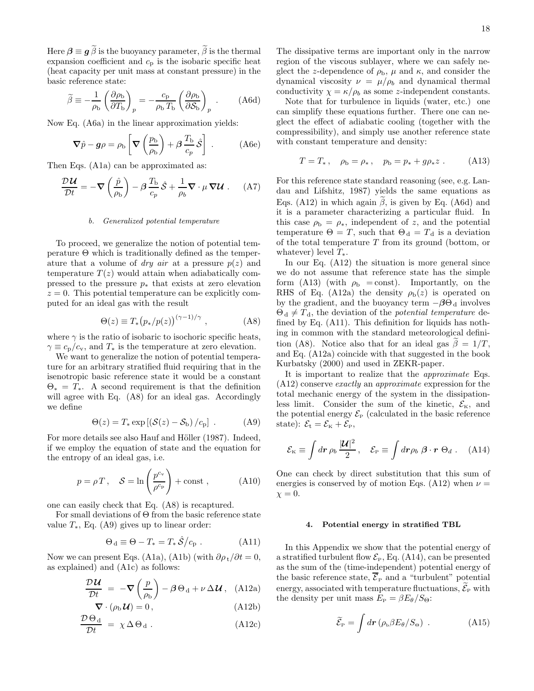Here  $\beta \equiv g \tilde{\beta}$  is the buoyancy parameter,  $\tilde{\beta}$  is the thermal expansion coefficient and  $c_p$  is the isobaric specific heat (heat capacity per unit mass at constant pressure) in the basic reference state:

$$
\widetilde{\beta} \equiv -\frac{1}{\rho_{\rm b}} \left( \frac{\partial \rho_{\rm b}}{\partial T_{\rm b}} \right)_p = -\frac{c_p}{\rho_{\rm b} T_{\rm b}} \left( \frac{\partial \rho_{\rm b}}{\partial S_{\rm b}} \right)_p . \tag{A6d}
$$

Now Eq. (A6a) in the linear approximation yields:

$$
\nabla \hat{p} - g\rho = \rho_{\rm b} \left[ \nabla \left( \frac{p_{\rm b}}{\rho_{\rm b}} \right) + \beta \frac{T_{\rm b}}{c_p} \hat{\mathcal{S}} \right] \ . \tag{A6e}
$$

Then Eqs. (A1a) can be approximated as:

$$
\frac{\mathcal{D}\mathcal{U}}{\mathcal{D}t} = -\nabla \left(\frac{\hat{p}}{\rho_b}\right) - \beta \frac{T_b}{c_p} \hat{\mathcal{S}} + \frac{1}{\rho_b} \nabla \cdot \mu \nabla \mathcal{U} . \tag{A7}
$$

# b. Generalized potential temperature

To proceed, we generalize the notion of potential temperature  $\Theta$  which is traditionally defined as the temperature that a volume of *dry air* at a pressure  $p(z)$  and temperature  $T(z)$  would attain when adiabatically compressed to the pressure  $p_*$  that exists at zero elevation  $z = 0$ . This potential temperature can be explicitly computed for an ideal gas with the result

$$
\Theta(z) \equiv T_* \big( p_*/p(z) \big)^{(\gamma - 1)/\gamma} , \qquad (A8)
$$

where  $\gamma$  is the ratio of isobaric to isochoric specific heats,  $\gamma \equiv c_{\rm p}/c_{\rm v}$ , and  $T_*$  is the temperature at zero elevation.

We want to generalize the notion of potential temperature for an arbitrary stratified fluid requiring that in the isenotropic basic reference state it would be a constant  $\Theta_* = T_*$ . A second requirement is that the definition will agree with Eq. (A8) for an ideal gas. Accordingly we define

$$
\Theta(z) = T_* \exp\left[\left(\mathcal{S}(z) - \mathcal{S}_{\rm b}\right)/c_{\rm p}\right] \ . \tag{A9}
$$

For more details see also Hauf and Höller (1987). Indeed, if we employ the equation of state and the equation for the entropy of an ideal gas, i.e.

$$
p = \rho T
$$
,  $\mathcal{S} = \ln\left(\frac{p^{c_v}}{\rho^{c_p}}\right) + \text{const}$ , (A10)

one can easily check that Eq. (A8) is recaptured.

For small deviations of Θ from the basic reference state value  $T_*$ , Eq. (A9) gives up to linear order:

$$
\Theta_{\rm d} \equiv \Theta - T_* = T_* \hat{S}/c_{\rm p} . \qquad (A11)
$$

Now we can present Eqs. (A1a), (A1b) (with  $\partial \rho_t / \partial t = 0$ , as explained) and (A1c) as follows:

$$
\frac{\mathcal{D}\mathcal{U}}{\mathcal{D}t} = -\nabla \left(\frac{p}{\rho_{\rm b}}\right) - \beta \Theta_{\rm d} + \nu \Delta \mathcal{U}, \quad \text{(A12a)}
$$

$$
\nabla \cdot (\rho_{\rm b} \mathcal{U}) = 0, \qquad (A12b)
$$

$$
\frac{\mathcal{D}\Theta_{\rm d}}{\mathcal{D}t} = \chi \Delta \Theta_{\rm d} . \tag{A12c}
$$

The dissipative terms are important only in the narrow region of the viscous sublayer, where we can safely neglect the z-dependence of  $\rho_{\rm b}$ ,  $\mu$  and  $\kappa$ , and consider the dynamical viscosity  $\nu = \mu/\rho_b$  and dynamical thermal conductivity  $\chi = \kappa/\rho_b$  as some z-independent constants.

Note that for turbulence in liquids (water, etc.) one can simplify these equations further. There one can neglect the effect of adiabatic cooling (together with the compressibility), and simply use another reference state with constant temperature and density:

$$
T = T_*, \quad \rho_b = \rho_*, \quad p_b = p_* + g\rho_* z . \quad (A13)
$$

For this reference state standard reasoning (see, e.g. Landau and Lifshitz, 1987) yields the same equations as Eqs. (A12) in which again  $\tilde{\beta}$ , is given by Eq. (A6d) and it is a parameter characterizing a particular fluid. In this case  $\rho_{\rm b} = \rho_*$ , independent of z, and the potential temperature  $\Theta = T$ , such that  $\Theta_d = T_d$  is a deviation of the total temperature  $T$  from its ground (bottom, or whatever) level  $T_*$ .

In our Eq. (A12) the situation is more general since we do not assume that reference state has the simple form (A13) (with  $\rho_{\rm b}$  = const). Importantly, on the RHS of Eq. (A12a) the density  $\rho_{b}(z)$  is operated on by the gradient, and the buoyancy term  $-\beta\Theta_d$  involves  $\Theta_d \neq T_d$ , the deviation of the *potential temperature* defined by Eq. (A11). This definition for liquids has nothing in common with the standard meteorological definition (A8). Notice also that for an ideal gas  $\beta = 1/T$ , and Eq. (A12a) coincide with that suggested in the book Kurbatsky (2000) and used in ZEKR-paper.

It is important to realize that the approximate Eqs. (A12) conserve exactly an approximate expression for the total mechanic energy of the system in the dissipationless limit. Consider the sum of the kinetic,  $\mathcal{E}_{K}$ , and the potential energy  $\mathcal{E}_{\text{P}}$  (calculated in the basic reference state):  $\mathcal{E}_t = \mathcal{E}_k + \mathcal{E}_P$ ,

$$
\mathcal{E}_{\rm K} \equiv \int d\boldsymbol{r} \,\rho_b \,\frac{|\mathcal{U}|^2}{2} \,, \quad \mathcal{E}_{\rm P} \equiv \int d\boldsymbol{r} \rho_b \,\beta \cdot \boldsymbol{r} \,\Theta_d \ . \quad \text{(A14)}
$$

One can check by direct substitution that this sum of energies is conserved by of motion Eqs. (A12) when  $\nu =$  $\chi = 0.$ 

### 4. Potential energy in stratified TBL

In this Appendix we show that the potential energy of a stratified turbulent flow  $\mathcal{E}_P$ , Eq. (A14), can be presented as the sum of the (time-independent) potential energy of the basic reference state,  $\overline{\mathcal{E}}_{P}$  and a "turbulent" potential energy, associated with temperature fluctuations,  $\mathcal{E}_{\rm P}$  with the density per unit mass  $E_P = \beta E_\theta / S_\Theta$ :

$$
\widetilde{\mathcal{E}}_{\rm P} = \int d\boldsymbol{r} \left( \rho_{\rm b} \beta E_{\theta} / S_{\Theta} \right) \ . \tag{A15}
$$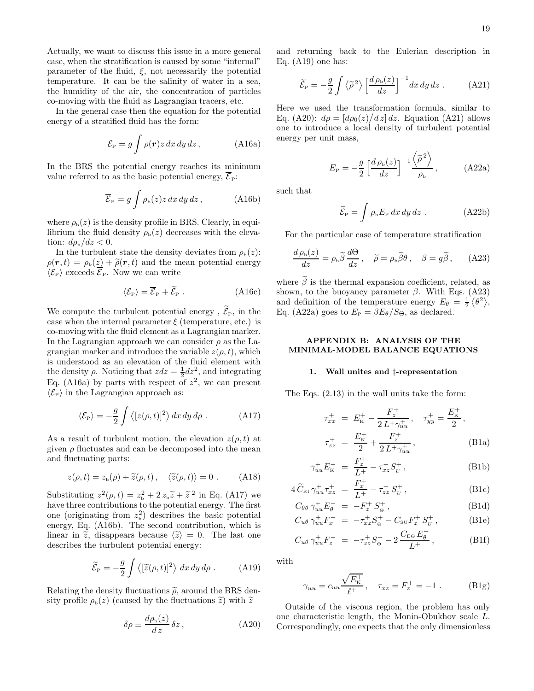Actually, we want to discuss this issue in a more general case, when the stratification is caused by some "internal" parameter of the fluid,  $\xi$ , not necessarily the potential temperature. It can be the salinity of water in a sea, the humidity of the air, the concentration of particles co-moving with the fluid as Lagrangian tracers, etc.

In the general case then the equation for the potential energy of a stratified fluid has the form:

$$
\mathcal{E}_{\rm P} = g \int \rho(\mathbf{r}) z \, dx \, dy \, dz \,, \tag{A16a}
$$

In the BRS the potential energy reaches its minimum value referred to as the basic potential energy,  $\overline{\mathcal{E}}_P$ :

$$
\overline{\mathcal{E}}_{\rm P} = g \int \rho_{\rm b}(z) z \, dx \, dy \, dz \,, \tag{A16b}
$$

where  $\rho_{\rm b}(z)$  is the density profile in BRS. Clearly, in equilibrium the fluid density  $\rho_{b}(z)$  decreases with the elevation:  $d\rho_{\rm b}/dz < 0$ .

In the turbulent state the density deviates from  $\rho_{b}(z)$ :  $\rho(\mathbf{r}, t) = \rho_{\rm b}(z) + \tilde{\rho}(\mathbf{r}, t)$  and the mean potential energy  $\langle \mathcal{E}_{\mathrm{P}} \rangle$  exceeds  $\overline{\mathcal{E}}_{\mathrm{P}}$ . Now we can write

$$
\langle \mathcal{E}_{\rm P} \rangle = \overline{\mathcal{E}}_{\rm P} + \widetilde{\mathcal{E}}_{\rm P} \ . \tag{A16c}
$$

We compute the turbulent potential energy ,  $\widetilde{\mathcal{E}}_{P}$  , in the case when the internal parameter  $\xi$  (temperature, etc.) is co-moving with the fluid element as a Lagrangian marker. In the Lagrangian approach we can consider  $\rho$  as the Lagrangian marker and introduce the variable  $z(\rho, t)$ , which is understood as an elevation of the fluid element with the density  $\rho$ . Noticing that  $zdz = \frac{1}{2}dz^2$ , and integrating Eq. (A16a) by parts with respect of  $z^2$ , we can present  $\langle \mathcal{E}_P \rangle$  in the Lagrangian approach as:

$$
\langle \mathcal{E}_{\rm P} \rangle = -\frac{g}{2} \int \langle [z(\rho, t)]^2 \rangle \, dx \, dy \, d\rho \; . \tag{A17}
$$

As a result of turbulent motion, the elevation  $z(\rho, t)$  at given  $\rho$  fluctuates and can be decomposed into the mean and fluctuating parts:

$$
z(\rho, t) = z_{\rm b}(\rho) + \widetilde{z}(\rho, t), \quad \langle \widetilde{z}(\rho, t) \rangle = 0. \quad \text{(A18)}
$$

Substituting  $z^2(\rho, t) = z_b^2 + 2 z_b \tilde{z} + \tilde{z}^2$  in Eq. (A17) we have three contributions to the potential energy. The first one (originating from  $z<sub>b</sub><sup>2</sup>$ ) describes the basic potential energy, Eq. (A16b). The second contribution, which is linear in  $\tilde{z}$ , disappears because  $\langle \tilde{z} \rangle = 0$ . The last one describes the turbulent potential energy:

$$
\widetilde{\mathcal{E}}_{\rm P} = -\frac{g}{2} \int \langle [\widetilde{z}(\rho, t)]^2 \rangle \, dx \, dy \, d\rho \,. \tag{A19}
$$

Relating the density fluctuations  $\tilde{\rho}$ , around the BRS density profile  $\rho_{\rm b}(z)$  (caused by the fluctuations  $\tilde{z}$ ) with  $\tilde{z}$ 

$$
\delta \rho \equiv \frac{d\rho_{\rm b}(z)}{dz} \,\delta z \,, \tag{A20}
$$

and returning back to the Eulerian description in Eq. (A19) one has:

$$
\widetilde{\mathcal{E}}_{\rm P} = -\frac{g}{2} \int \langle \widetilde{\rho}^2 \rangle \left[ \frac{d \rho_{\rm b}(z)}{dz} \right]^{-1} dx \, dy \, dz \,. \tag{A21}
$$

Here we used the transformation formula, similar to Eq. (A20):  $d\rho = \left[\frac{d\rho_0(z)}{dz}\right]dz$ . Equation (A21) allows one to introduce a local density of turbulent potential energy per unit mass,

$$
E_{\rm P} = -\frac{g}{2} \left[ \frac{d\rho_{\rm b}(z)}{dz} \right]^{-1} \frac{\left\langle \tilde{\rho}^2 \right\rangle}{\rho_{\rm b}}, \qquad (A22a)
$$

such that

$$
\widetilde{\mathcal{E}}_{\rm P} = \int \rho_{\rm b} E_{\rm P} \, dx \, dy \, dz \ . \tag{A22b}
$$

For the particular case of temperature stratification

$$
\frac{d\rho_{\rm b}(z)}{dz} = \rho_{\rm b}\tilde{\beta}\frac{d\Theta}{dz}\,,\quad \tilde{\rho} = \rho_{\rm b}\tilde{\beta}\theta\,,\quad \beta = g\tilde{\beta}\,,\quad (A23)
$$

where  $\beta$  is the thermal expansion coefficient, related, as shown, to the buoyancy parameter  $\beta$ . With Eqs. (A23) and definition of the temperature energy  $E_{\theta} = \frac{1}{2} \langle \theta^2 \rangle$ , Eq. (A22a) goes to  $E_P = \beta E_\theta / S_\Theta$ , as declared.

# APPENDIX B: ANALYSIS OF THE MINIMAL-MODEL BALANCE EQUATIONS

#### 1. Wall unites and ‡-representation

The Eqs. (2.13) in the wall units take the form:

$$
\tau_{xx}^{+} = E_{\kappa}^{+} - \frac{F_{z}^{+}}{2 L + \gamma_{uu}^{+}}, \quad \tau_{yy}^{+} = \frac{E_{\kappa}^{+}}{2},
$$
\n
$$
\tau_{zz}^{+} = \frac{E_{\kappa}^{+}}{2} + \frac{F_{z}^{+}}{2 L + \gamma_{uu}^{+}}, \quad \text{(B1a)}
$$

$$
\gamma_{uu}^+ E_{\kappa}^+ = \frac{F_z^+}{L^+} - \tau_{xz}^+ S_v^+, \tag{B1b}
$$

$$
4\,\widetilde{C}_{\text{RI}}\,\gamma_{uu}^{+}\tau_{xz}^{+} = \frac{F_x^{+}}{L^{+}} - \tau_{zz}^{+}\,S_{U}^{+}\,,\tag{B1c}
$$

$$
C_{\theta\theta} \gamma_{uu}^+ E_{\theta}^+ = -F_z^+ S_{\theta}^+, \tag{B1d}
$$

$$
C_{u\theta} \gamma_{uu}^+ F_x^+ = -\tau_{xz}^+ S_{\Theta}^+ - C_{\text{SU}} F_z^+ S_U^+, \tag{B1e}
$$

$$
C_{u\theta} \gamma_{uu}^+ F_z^+ = -\tau_{zz}^+ S_{\Theta}^+ - 2 \frac{C_{\rm E\Theta} E_{\theta}^+}{L^+}, \qquad (B1f)
$$

with

$$
\gamma_{uu}^+ = c_{uu} \frac{\sqrt{E_{\rm K}^+}}{\ell^+}, \quad \tau_{xz}^+ = F_z^+ = -1.
$$
 (B1g)

Outside of the viscous region, the problem has only one characteristic length, the Monin-Obukhov scale L. Correspondingly, one expects that the only dimensionless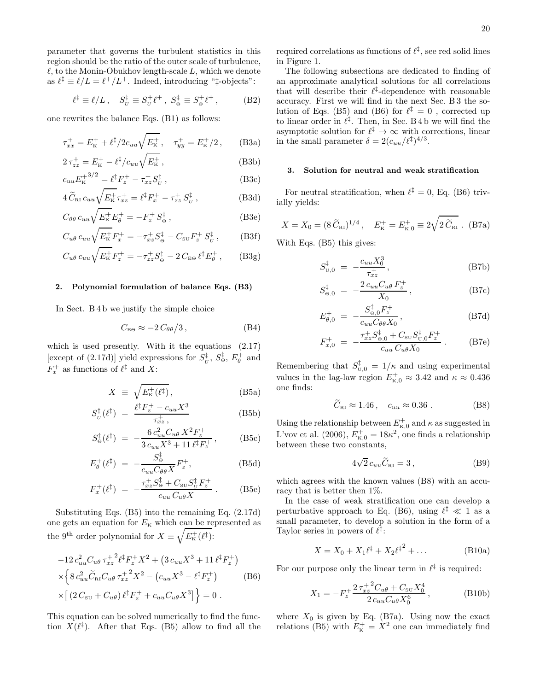parameter that governs the turbulent statistics in this region should be the ratio of the outer scale of turbulence,  $\ell$ , to the Monin-Obukhov length-scale L, which we denote as  $\ell^{\ddagger} \equiv \ell/L = \ell^+/L^+$ . Indeed, introducing " $\ddagger$ -objects":

$$
\ell^{\ddagger} \equiv \ell/L \,, \quad S_{\nu}^{\ddagger} \equiv S_{\nu}^{+} \ell^{+} \,, \ S_{\Theta}^{\ddagger} \equiv S_{\Theta}^{+} \ell^{+} \,, \tag{B2}
$$

one rewrites the balance Eqs. (B1) as follows:

$$
\tau_{xx}^+ = E_{\kappa}^+ + \ell^{\dagger}/2c_{uu}\sqrt{E_{\kappa}^+}, \quad \tau_{yy}^+ = E_{\kappa}^+/2 \,, \qquad \text{(B3a)}
$$

$$
2\,\tau_{zz}^+ = E_{\rm K}^+ - \ell^{\dagger}/c_{uu}\sqrt{E_{\rm K}^+}\,,\tag{B3b}
$$

$$
c_{uu}E_{\mathbf{k}}^{+3/2} = \ell^{\ddagger}F_{z}^{+} - \tau_{xz}^{+}S_{U}^{\ddagger} , \qquad (B3c)
$$

$$
4\widetilde{C}_{\text{RI}}c_{uu}\sqrt{E_{\text{K}}^{+}}\tau_{xz}^{+} = \ell^{\ddagger}F_{x}^{+} - \tau_{zz}^{+}S_{U}^{\ddagger} ,\qquad (B3d)
$$

$$
C_{\theta\theta} c_{uu} \sqrt{E_{\rm k}^+} E_{\theta}^+ = -F_z^+ S_{\Theta}^\ddagger , \qquad (B3e)
$$

$$
C_{u\theta} c_{uu} \sqrt{E_{\rm k}^+} F_x^+ = -\tau_{xz}^+ S_{\Theta}^{\ddagger} - C_{\rm SU} F_z^+ S_U^{\ddagger} , \qquad \text{(B3f)}
$$

$$
C_{u\theta} c_{uu} \sqrt{E_{\rm k}^{+}} F_{z}^{+} = -\tau_{zz}^{+} S_{\Theta}^{\ddagger} - 2 C_{\rm E\Theta} \ell^{\ddagger} E_{\theta}^{+} , \qquad (B3g)
$$

### 2. Polynomial formulation of balance Eqs. (B3)

In Sect. B 4 b we justify the simple choice

$$
C_{\text{E}\Theta} \approx -2 C_{\theta\theta} / 3, \qquad (B4)
$$

which is used presently. With it the equations (2.17) [except of (2.17d)] yield expressions for  $S_{\nu}^{\ddag}$ ,  $S_{\Theta}^{\ddag}$ ,  $E_{\theta}^{+}$  and  $F_x^+$  as functions of  $\ell^{\ddagger}$  and X:

$$
X \equiv \sqrt{E_{\kappa}^{+}(\ell^{\ddagger})}, \tag{B5a}
$$

$$
S_{U}^{\ddagger}(\ell^{\ddagger}) = \frac{\ell^{\ddagger} F_{z}^{+} - c_{uu} X^{3}}{\tau_{xz}^{+}}, \tag{B5b}
$$

$$
S_{\Theta}^{\ddagger}(\ell^{\ddagger}) = -\frac{6 c_{uu}^2 C_{u\theta} X^2 F_z^+}{3 c_{uu} X^3 + 11 \ell^{\ddagger} F_z^+}, \qquad \text{(B5c)}
$$

$$
E_{\theta}^{+}(\ell^{\ddagger}) = -\frac{S_{\Theta}^{\ddagger}}{c_{uu}C_{\theta\theta}X}F_{z}^{+},
$$
 (B5d)

$$
F_x^+(\ell^{\dagger}) = -\frac{\tau_{xz}^+ S_{\Theta}^{\dagger} + C_{\text{su}} S_U^{\dagger} F_z^+}{c_{uu} C_{u\theta} X} . \tag{B5e}
$$

Substituting Eqs. (B5) into the remaining Eq. (2.17d) one gets an equation for  $E_{\text{k}}$  which can be represented as the 9<sup>th</sup> order polynomial for  $X \equiv \sqrt{E_{\kappa}^{+}(\ell^{\ddagger})}$ :

$$
-12 c_{uu}^2 C_{u\theta} \tau_{xz}^{+2} \ell^{\dagger} F_z^+ X^2 + (3 c_{uu} X^3 + 11 \ell^{\dagger} F_z^+ )
$$
  
\n
$$
\times \left\{ 8 c_{uu}^2 \widetilde{C}_{\text{RI}} C_{u\theta} \tau_{xz}^{+2} X^2 - (c_{uu} X^3 - \ell^{\dagger} F_z^+ ) \right\}
$$
  
\n
$$
\times \left[ (2 C_{\text{SU}} + C_{u\theta}) \ell^{\dagger} F_z^+ + c_{uu} C_{u\theta} X^3 \right] \right\} = 0.
$$
 (B6)

This equation can be solved numerically to find the function  $X(\ell^{\ddagger})$ . After that Eqs. (B5) allow to find all the

required correlations as functions of  $\ell^{\ddagger}$ , see red solid lines in Figure 1.

The following subsections are dedicated to finding of an approximate analytical solutions for all correlations that will describe their  $\ell^{\ddagger}$ -dependence with reasonable accuracy. First we will find in the next Sec. B 3 the solution of Eqs. (B5) and (B6) for  $\ell^{\ddagger} = 0$ , corrected up to linear order in  $\ell^{\ddagger}$ . Then, in Sec. B 4 b we will find the asymptotic solution for  $\ell^{\ddagger} \to \infty$  with corrections, linear in the small parameter  $\delta = 2(c_{uu}/\ell^{\ddagger})^{4/3}$ .

### 3. Solution for neutral and weak stratification

For neutral stratification, when  $\ell^{\ddagger} = 0$ , Eq. (B6) trivially yields:

$$
X = X_0 = (8 \tilde{C}_{\text{R1}})^{1/4}, \quad E_{\text{K}}^+ = E_{\text{K},0}^+ \equiv 2\sqrt{2 \tilde{C}_{\text{R1}}}
$$
. (B7a)

With Eqs. (B5) this gives:

$$
S_{\text{U},0}^{\ddagger} = -\frac{c_{uu}X_0^3}{\tau_{xz}^{\ddagger}}, \tag{B7b}
$$

$$
S_{\Theta,0}^{\ddagger} = -\frac{2 c_{uu} C_{u\theta} F_z^+}{X_0}, \qquad (B7c)
$$

$$
E_{\theta,0}^{+} = -\frac{S_{\Theta,0}^{\ddagger} F_z^{+}}{c_{uu} C_{\theta\theta} X_0}, \tag{B7d}
$$

$$
F_{x,0}^{+} = -\frac{\tau_{xz}^{+} S_{\Theta,0}^{\ddagger} + C_{\text{SU}} S_{\text{U},0}^{\ddagger} F_{z}^{+}}{c_{uu} C_{u\theta} X_{0}} \ . \tag{B7e}
$$

Remembering that  $S_{\text{U},0}^{\ddagger} = 1/\kappa$  and using experimental values in the lag-law region  $E_{\text{\tiny K},0}^+ \approx 3.42$  and  $\kappa \approx 0.436$ one finds:

$$
\widetilde{C}_{\text{RI}} \approx 1.46 \,, \quad c_{uu} \approx 0.36 \,. \tag{B8}
$$

Using the relationship between  $E_{\kappa,0}^+$  and  $\kappa$  as suggested in L'vov et al. (2006),  $E_{\text{k,0}}^{+} = 18\kappa^2$ , one finds a relationship between these two constants,

$$
4\sqrt{2} c_{uu}\widetilde{C}_{\text{RI}} = 3\,,\tag{B9}
$$

which agrees with the known values (B8) with an accuracy that is better then 1%.

In the case of weak stratification one can develop a perturbative approach to Eq. (B6), using  $\ell^{\ddagger} \ll 1$  as a small parameter, to develop a solution in the form of a Taylor series in powers of  $\ell^{\ddagger}$ :

$$
X = X_0 + X_1 \ell^{\ddagger} + X_2 {\ell^{\ddagger}}^2 + \dots
$$
 (B10a)

For our purpose only the linear term in  $\ell^{\ddagger}$  is required:

$$
X_1 = -F_z^+ \frac{2\,\tau_{xz}^+{}^2 C_{u\theta} + C_{\text{SU}} X_0^4}{2\,c_{uu} C_{u\theta} X_0^6},\tag{B10b}
$$

where  $X_0$  is given by Eq. (B7a). Using now the exact relations (B5) with  $E_{\kappa}^{+} = X^2$  one can immediately find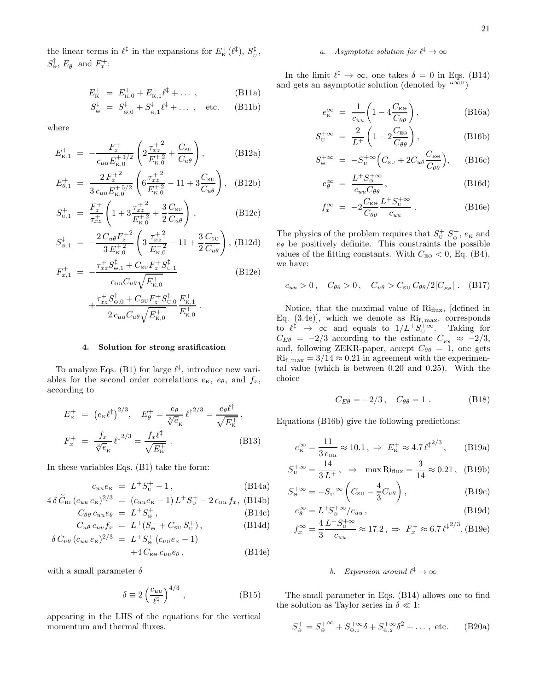the linear terms in  $\ell^{\ddagger}$  in the expansions for  $E_{\kappa}^{+}(\ell^{\ddagger}), S_{\nu}^{\ddagger}$ ,  $S_{\Theta}^{\ddagger}$ ,  $E_{\theta}^{+}$  and  $F_{x}^{+}$ :

$$
E_{\kappa}^{+} = E_{\kappa,0}^{+} + E_{\kappa,1}^{+} \ell^{\ddagger} + \dots , \qquad (B11a)
$$

$$
S^{\ddagger}_{\Theta} \; = \; S^{\ddagger}_{\Theta,0} + S^{\ddagger}_{\Theta,1} \ell^{\ddagger} + \dots \; , \quad \text{etc.} \quad \ \ \text{(B11b)}
$$

where

$$
E_{\text{K},1}^{+} = -\frac{F_{z}^{+}}{c_{uu}E_{\text{K},0}^{+1/2}} \left(2\frac{\tau_{xz}^{+2}}{E_{\text{K},0}^{+2}} + \frac{C_{\text{SU}}}{C_{u\theta}}\right), \tag{B12a}
$$

$$
E_{\theta,1}^{+} = \frac{2 F_z^{+2}}{3 c_{uu} E_{\kappa,0}^{+5/2}} \left( 6 \frac{\tau_{xz}^{+2}}{E_{\kappa,0}^{+2}} - 11 + 3 \frac{C_{\text{SU}}}{C_{u\theta}} \right), \quad \text{(B12b)}
$$

$$
S_{\text{U},1}^{+} = \frac{F_{z}^{+}}{\tau_{xz}^{+}} \left( 1 + 3 \frac{\tau_{xz}^{+2}}{E_{\text{K},0}^{+2}} + \frac{3}{2} \frac{C_{\text{SU}}}{C_{u\theta}} \right), \qquad (B12c)
$$

$$
S_{\Theta,1}^{\ddagger} = -\frac{2 C_{u\theta} F_z^{+2}}{3 E_{\text{K},0}^{+2}} \left( 3 \frac{\tau_{xz}^{+2}}{E_{\text{K},0}^{+2}} - 11 + \frac{3}{2} \frac{C_{\text{SU}}}{C_{u\theta}} \right), \text{ (B12d)}
$$

$$
F_{x,1}^{+} = -\frac{\tau_{xz}^{+} S_{\Theta,1}^{\ddagger} + C_{\text{SU}} F_{z}^{+} S_{\text{U},1}^{\ddagger}}{c_{uu} C_{u\theta} \sqrt{E_{\text{K},0}^{+}}} \tag{B12e}
$$

$$
+\frac{\tau_{xz}^+S_{\Theta,0}^{\ddagger}+C_{\text{SU}}F_z^+S_{\text{U,0}}^{\ddagger}}{2\,c_{uu}C_{u\theta}\sqrt{E_{\text{K},0}^+}}\frac{E_{\text{K},1}^+}{E_{\text{K},0}^+}.
$$

#### 4. Solution for strong sratification

To analyze Eqs. (B1) for large  $\ell^{\ddagger}$ , introduce new variables for the second order correlations  $e_{\kappa}$ ,  $e_{\theta}$ , and  $f_{x}$ , according to

$$
E_{\kappa}^{+} = (e_{\kappa} \ell^{\dagger})^{2/3}, \quad E_{\theta}^{+} = \frac{e_{\theta}}{\sqrt[3]{e_{\kappa}}} \ell^{\dagger 2/3} = \frac{e_{\theta} \ell^{\dagger}}{\sqrt{E_{\kappa}^{+}}},
$$

$$
F_{x}^{+} = \frac{f_{x}}{\sqrt[3]{e_{\kappa}}} \ell^{\dagger 2/3} = \frac{f_{x} \ell^{\dagger}}{\sqrt{E_{\kappa}^{+}}}.
$$
(B13)

In these variables Eqs. (B1) take the form:

$$
c_{uu}e_{\kappa} = L^{+}S_{\nu}^{+} - 1, \qquad (B14a)
$$

$$
4\,\delta\,\widetilde{C}_{\rm RI}\,(c_{uu}\,e_{\rm K})^{2/3} \;=\; (c_{uu}e_{\rm K}-1)\,L^+S_{\rm U}^+ - 2\,c_{uu}\,f_x,\,\,\text{(B14b)}
$$

$$
C_{\theta\theta} c_{uu} e_{\theta} = L^+ S^+_{\Theta}, \qquad (B14c)
$$

$$
C_{u\theta} c_{uu} f_x = L^+(S^+_{\Theta} + C_{\text{SU}} S^+_{\text{U}}), \tag{B14d}
$$

$$
\delta C_{u\theta} (c_{uu} e_{\kappa})^{2/3} = L^+ S^+_{\Theta} (c_{uu} e_{\kappa} - 1) + 4 C_{\text{E}\Theta} c_{uu} e_{\theta},
$$
 (B14e)

with a small parameter  $\delta$ 

$$
\delta \equiv 2 \left( \frac{c_{uu}}{\ell^{\ddagger}} \right)^{4/3}, \tag{B15}
$$

appearing in the LHS of the equations for the vertical momentum and thermal fluxes.

# a. Asymptotic solution for  $\ell^{\ddagger} \to \infty$

In the limit  $\ell^{\ddagger} \to \infty$ , one takes  $\delta = 0$  in Eqs. (B14) and gets an asymptotic solution (denoted by " $\infty$ ")

$$
e_{\kappa}^{\infty} = \frac{1}{c_{uu}} \left( 1 - 4 \frac{C_{\text{E}\Theta}}{C_{\theta\theta}} \right), \tag{B16a}
$$

$$
S_{\text{U}}^{+\infty} = \frac{2}{L^{+}} \left( 1 - 2 \frac{C_{\text{E}\Theta}}{C_{\theta\theta}} \right), \tag{B16b}
$$

$$
S_{\Theta}^{+\infty} = -S_{\mathrm{U}}^{+\infty} \Big( C_{\mathrm{SU}} + 2C_{u\theta} \frac{C_{\mathrm{E}\Theta}}{C_{\theta\theta}} \Big), \quad \text{(B16c)}
$$

$$
e_{\theta}^{\infty} = \frac{L^{+} S_{\Theta}^{+\infty}}{c_{uu} C_{\theta\theta}}, \qquad (B16d)
$$

$$
f_x^{\infty} = -2 \frac{C_{\text{E}\Theta}}{C_{\theta\theta}} \frac{L^+ S_{\text{U}}^{+\infty}}{c_{uu}}.
$$
 (B16e)

The physics of the problem requires that  $S_{\text{U}}^{+}$ ,  $S_{\Theta}^{+}$ ,  $e_{\text{K}}$  and  $e_{\theta}$  be positively definite. This constraints the possible values of the fitting constants. With  $C_{E\Theta} < 0$ , Eq. (B4), we have:

$$
c_{uu} > 0, \quad C_{\theta\theta} > 0, \quad C_{u\theta} > C_{\text{SU}} C_{\theta\theta} / 2|C_{E\theta}|. \quad \text{(B17)}
$$

Notice, that the maximal value of  $\mathrm{Ri}_{\text{flux}}$ , [defined in Eq.  $(3.4e)$ , which we denote as  $\mathrm{Ri}_{f,\mathrm{max}}$ , corresponds to  $\ell^{\ddagger} \to \infty$  and equals to  $1/L^+ S_{\scriptscriptstyle U}^{+\infty}$ . Taking for  $C_{E\theta} = -2/3$  according to the estimate  $C_{E\theta} \approx -2/3$ , and, following ZEKR-paper, accept  $C_{\theta\theta} = 1$ , one gets  $\mathrm{Ri}_{\mathrm{f, max}} = 3/14 \approx 0.21$  in agreement with the experimental value (which is between 0.20 and 0.25). With the choice

$$
C_{E\theta} = -2/3, \quad C_{\theta\theta} = 1. \tag{B18}
$$

Equations (B16b) give the following predictions:

$$
e_{\kappa}^{\infty} = \frac{11}{3 c_{uu}} \approx 10.1, \Rightarrow E_{\kappa}^{+} \approx 4.7 \ell^{\ddagger^{2/3}},
$$
 (B19a)

$$
S_{U}^{+\infty} = \frac{14}{3 L^{+}}, \Rightarrow \max \text{Ri}_{\text{flux}} = \frac{3}{14} \approx 0.21, (B19b)
$$

$$
S_{\Theta}^{+\infty} = -S_{\mathrm{U}}^{+\infty} \left( C_{\mathrm{SU}} - \frac{4}{3} C_{u\theta} \right), \tag{B19c}
$$

$$
e_{\theta}^{\infty} = L^{+} S_{\Theta}^{+\infty} / c_{uu} , \qquad (B19d)
$$

$$
f_x^{\infty} = \frac{4}{3} \frac{L^+ S_{\rm U}^{+\infty}}{c_{uu}} \approx 17.2, \implies F_x^+ \approx 6.7 \ell^{\ddagger^{2/3}}.
$$
 (B19e)

# b. Expansion around  $\ell^{\ddagger} \to \infty$

The small parameter in Eqs. (B14) allows one to find the solution as Taylor series in  $\delta \ll 1$ :

$$
S_{\Theta}^{+} = S_{\Theta}^{+\infty} + S_{\Theta,1}^{+\infty} \delta + S_{\Theta,2}^{+\infty} \delta^{2} + \dots, \text{ etc.} \qquad (B20a)
$$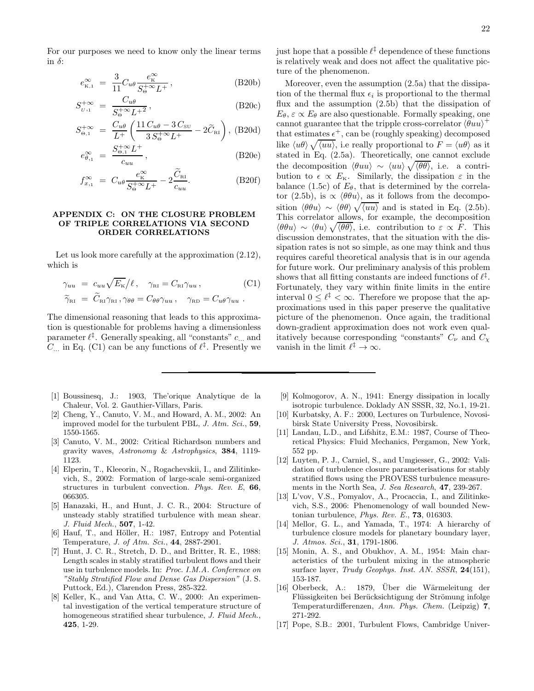For our purposes we need to know only the linear terms in  $\delta$ :

$$
e_{\kappa,1}^{\infty} = \frac{3}{11} C_{u\theta} \frac{e_{\kappa}^{\infty}}{S_{\Theta}^{+\infty} L^{+}},
$$
 (B20b)

$$
S_{U,1}^{+\infty} = \frac{C_{u\theta}}{S_{\Theta}^{+\infty}L^{+2}},\tag{B20c}
$$

$$
S_{\Theta,1}^{+\infty} = \frac{C_{u\theta}}{L^{+}} \left( \frac{11 C_{u\theta} - 3 C_{\text{SU}}}{3 S_{\Theta}^{+\infty} L^{+}} - 2 \widetilde{C}_{\text{RI}} \right), \text{ (B20d)}
$$

$$
e_{\theta,1}^{\infty} = \frac{S_{\Theta,1}^{+\infty} L^{+}}{c_{uu}}, \tag{B20e}
$$

$$
f_{x,1}^{\infty} = C_{u\theta} \frac{e_{\kappa}^{\infty}}{S_{\Theta}^{+\infty} L^{+}} - 2 \frac{\tilde{C}_{\text{RI}}}{c_{uu}}.
$$
 (B20f)

# APPENDIX C: ON THE CLOSURE PROBLEM OF TRIPLE CORRELATIONS VIA SECOND ORDER CORRELATIONS

Let us look more carefully at the approximation (2.12), which is

$$
\gamma_{uu} = c_{uu} \sqrt{E_{\kappa}}/\ell, \quad \gamma_{\text{RI}} = C_{\text{RI}} \gamma_{uu},
$$
\n
$$
\widetilde{\gamma}_{\text{RI}} = \widetilde{C}_{\text{RI}} \gamma_{\text{RI}}, \gamma_{\theta\theta} = C_{\theta\theta} \gamma_{uu}, \quad \gamma_{\text{RD}} = C_{u\theta} \gamma_{uu}.
$$
\n
$$
(C1)
$$

The dimensional reasoning that leads to this approximation is questionable for problems having a dimensionless parameter  $\ell^{\ddagger}$ . Generally speaking, all "constants"  $c_{...}$  and  $C_{\dots}$  in Eq. (C1) can be any functions of  $\ell^{\ddagger}$ . Presently we

- [1] Boussinesq, J.: 1903, The'orique Analytique de la Chaleur, Vol. 2. Gauthier-Villars, Paris.
- [2] Cheng, Y., Canuto, V. M., and Howard, A. M., 2002: An improved model for the turbulent PBL, J. Atm. Sci., 59, 1550-1565.
- [3] Canuto, V. M., 2002: Critical Richardson numbers and gravity waves, Astronomy & Astrophysics, 384, 1119- 1123.
- [4] Elperin, T., Kleeorin, N., Rogachevskii, I., and Zilitinkevich, S., 2002: Formation of large-scale semi-organized structures in turbulent convection. Phys. Rev. E, 66, 066305.
- [5] Hanazaki, H., and Hunt, J. C. R., 2004: Structure of unsteady stably stratified turbulence with mean shear. J. Fluid Mech., 507, 1-42.
- [6] Hauf, T., and Höller, H.: 1987, Entropy and Potential Temperature, J. of Atm. Sci., 44, 2887-2901.
- [7] Hunt, J. C. R., Stretch, D. D., and Britter, R. E., 1988: Length scales in stably stratified turbulent flows and their use in turbulence models. In: Proc. I.M.A. Conference on "Stably Stratified Flow and Dense Gas Dispersion" (J. S. Puttock, Ed.), Clarendon Press, 285-322.
- [8] Keller, K., and Van Atta, C. W., 2000: An experimental investigation of the vertical temperature structure of homogeneous stratified shear turbulence, J. Fluid Mech., 425, 1-29.

just hope that a possible  $\ell^{\ddagger}$  dependence of these functions is relatively weak and does not affect the qualitative picture of the phenomenon.

Moreover, even the assumption (2.5a) that the dissipation of the thermal flux  $\epsilon_i$  is proportional to the thermal flux and the assumption (2.5b) that the dissipation of  $E_{\theta}$ ,  $\varepsilon \propto E_{\theta}$  are also questionable. Formally speaking, one cannot guarantee that the tripple cross-correlator  $\langle \theta u u \rangle^+$ that estimates  $\epsilon^+$ , can be (roughly speaking) decomposed like  $\langle u\theta \rangle \sqrt{\langle uu \rangle}$ , i.e really proportional to  $F = \langle u\theta \rangle$  as it stated in Eq. (2.5a). Theoretically, one cannot exclude the decomposition  $\langle \theta uu \rangle \sim \langle uu \rangle \sqrt{\langle \theta \theta \rangle}$ , i.e. a contribution to  $\epsilon \propto E_{\text{k}}$ . Similarly, the dissipation  $\varepsilon$  in the balance (1.5c) of  $E_{\theta}$ , that is determined by the correlator (2.5b), is  $\propto \langle \theta \theta u \rangle$ , as it follows from the decomposition  $\langle \theta \theta u \rangle \sim \langle \theta \theta \rangle \sqrt{\langle uu \rangle}$  and is stated in Eq. (2.5b). This correlator allows, for example, the decomposition  $\langle \theta \theta u \rangle \sim \langle \theta u \rangle \sqrt{\langle \theta \theta \rangle}$ , i.e. contribution to  $\varepsilon \propto \overline{F}$ . This discussion demonstrates, that the situation with the dissipation rates is not so simple, as one may think and thus requires careful theoretical analysis that is in our agenda for future work. Our preliminary analysis of this problem shows that all fitting constants are indeed functions of  $\ell^{\ddagger}$ . Fortunately, they vary within finite limits in the entire interval  $0 \leq \ell^{\ddagger} < \infty$ . Therefore we propose that the approximations used in this paper preserve the qualitative picture of the phenomenon. Once again, the traditional down-gradient approximation does not work even qualitatively because corresponding "constants"  $C_{\nu}$  and  $C_{\chi}$ vanish in the limit  $\ell^{\ddagger} \to \infty$ .

- [9] Kolmogorov, A. N., 1941: Energy dissipation in locally isotropic turbulence. Doklady AN SSSR, 32, No.1, 19-21.
- [10] Kurbatsky, A. F.: 2000, Lectures on Turbulence, Novosibirsk State University Press, Novosibirsk.
- [11] Landau, L.D., and Lifshitz, E.M.: 1987, Course of Theoretical Physics: Fluid Mechanics, Pergamon, New York, 552 pp.
- [12] Luyten, P. J., Carniel, S., and Umgiesser, G., 2002: Validation of turbulence closure parameterisations for stably stratified flows using the PROVESS turbulence measurements in the North Sea, J. Sea Research, 47, 239-267.
- [13] L'vov, V.S., Pomyalov, A., Procaccia, I., and Zilitinkevich, S.S., 2006: Phenomenology of wall bounded Newtonian turbulence, Phys. Rev. E., 73, 016303.
- [14] Mellor, G. L., and Yamada, T., 1974: A hierarchy of turbulence closure models for planetary boundary layer, J. Atmos. Sci., 31, 1791-1806.
- [15] Monin, A. S., and Obukhov, A. M., 1954: Main characteristics of the turbulent mixing in the atmospheric surface layer, Trudy Geophys. Inst. AN. SSSR, 24(151), 153-187.
- [16] Oberbeck, A.: 1879, Über die Wärmeleitung der Flüssigkeiten bei Berücksichtigung der Strömung infolge Temperaturdifferenzen, Ann. Phys. Chem. (Leipzig) 7, 271-292.
- [17] Pope, S.B.: 2001, Turbulent Flows, Cambridge Univer-